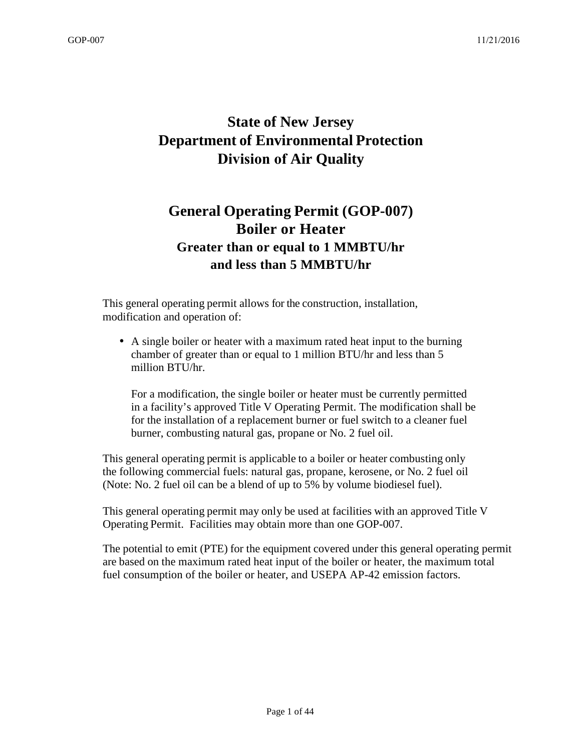# **State of New Jersey Department of Environmental Protection Division of Air Quality**

# **General Operating Permit (GOP-007) Boiler or Heater Greater than or equal to 1 MMBTU/hr and less than 5 MMBTU/hr**

This general operating permit allows for the construction, installation, modification and operation of:

• A single boiler or heater with a maximum rated heat input to the burning chamber of greater than or equal to 1 million BTU/hr and less than 5 million BTU/hr.

For a modification, the single boiler or heater must be currently permitted in a facility's approved Title V Operating Permit. The modification shall be for the installation of a replacement burner or fuel switch to a cleaner fuel burner, combusting natural gas, propane or No. 2 fuel oil.

This general operating permit is applicable to a boiler or heater combusting only the following commercial fuels: natural gas, propane, kerosene, or No. 2 fuel oil (Note: No. 2 fuel oil can be a blend of up to 5% by volume biodiesel fuel).

This general operating permit may only be used at facilities with an approved Title V Operating Permit. Facilities may obtain more than one GOP-007.

The potential to emit (PTE) for the equipment covered under this general operating permit are based on the maximum rated heat input of the boiler or heater, the maximum total fuel consumption of the boiler or heater, and USEPA AP-42 emission factors.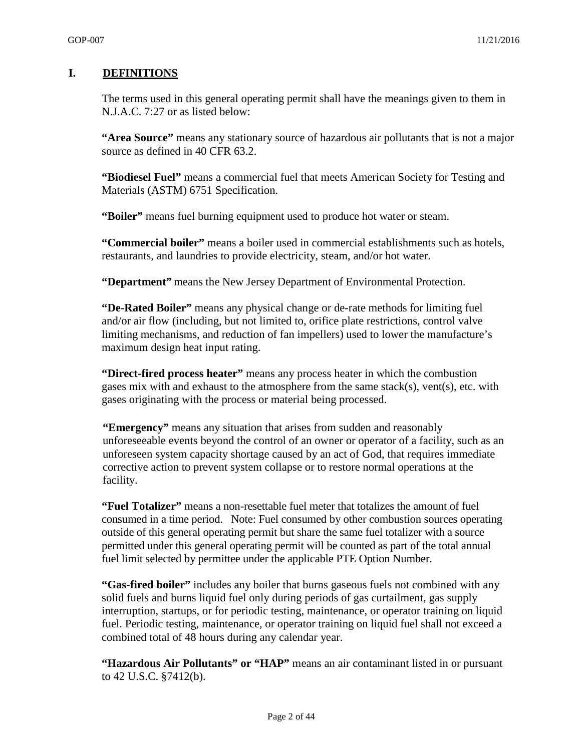#### **I. DEFINITIONS**

The terms used in this general operating permit shall have the meanings given to them in N.J.A.C. 7:27 or as listed below:

**"Area Source"** means any stationary source of hazardous air pollutants that is not a major source as defined in 40 CFR 63.2.

**"Biodiesel Fuel"** means a commercial fuel that meets American Society for Testing and Materials (ASTM) 6751 Specification.

**"Boiler"** means fuel burning equipment used to produce hot water or steam.

**"Commercial boiler"** means a boiler used in commercial establishments such as hotels, restaurants, and laundries to provide electricity, steam, and/or hot water.

**"Department"** means the New Jersey Department of Environmental Protection.

**"De-Rated Boiler"** means any physical change or de-rate methods for limiting fuel and/or air flow (including, but not limited to, orifice plate restrictions, control valve limiting mechanisms, and reduction of fan impellers) used to lower the manufacture's maximum design heat input rating.

**"Direct-fired process heater"** means any process heater in which the combustion gases mix with and exhaust to the atmosphere from the same stack(s), vent(s), etc. with gases originating with the process or material being processed.

**"Emergency"** means any situation that arises from sudden and reasonably unforeseeable events beyond the control of an owner or operator of a facility, such as an unforeseen system capacity shortage caused by an act of God, that requires immediate corrective action to prevent system collapse or to restore normal operations at the facility.

**"Fuel Totalizer"** means a non-resettable fuel meter that totalizes the amount of fuel consumed in a time period. Note: Fuel consumed by other combustion sources operating outside of this general operating permit but share the same fuel totalizer with a source permitted under this general operating permit will be counted as part of the total annual fuel limit selected by permittee under the applicable PTE Option Number.

**"Gas-fired boiler"** includes any boiler that burns gaseous fuels not combined with any solid fuels and burns liquid fuel only during periods of gas curtailment, gas supply interruption, startups, or for periodic testing, maintenance, or operator training on liquid fuel. Periodic testing, maintenance, or operator training on liquid fuel shall not exceed a combined total of 48 hours during any calendar year.

**"Hazardous Air Pollutants" or "HAP"** means an air contaminant listed in or pursuant to 42 U.S.C. §7412(b).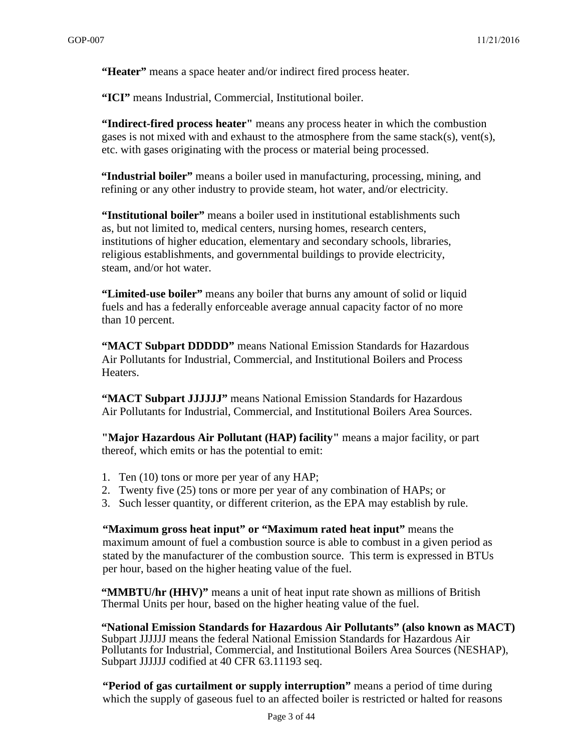**"Heater"** means a space heater and/or indirect fired process heater.

**"ICI"** means Industrial, Commercial, Institutional boiler.

**"Indirect-fired process heater"** means any process heater in which the combustion gases is not mixed with and exhaust to the atmosphere from the same stack(s), vent(s), etc. with gases originating with the process or material being processed.

**"Industrial boiler"** means a boiler used in manufacturing, processing, mining, and refining or any other industry to provide steam, hot water, and/or electricity.

**"Institutional boiler"** means a boiler used in institutional establishments such as, but not limited to, medical centers, nursing homes, research centers, institutions of higher education, elementary and secondary schools, libraries, religious establishments, and governmental buildings to provide electricity, steam, and/or hot water.

**"Limited-use boiler"** means any boiler that burns any amount of solid or liquid fuels and has a federally enforceable average annual capacity factor of no more than 10 percent.

**"MACT Subpart DDDDD"** means National Emission Standards for Hazardous Air Pollutants for Industrial, Commercial, and Institutional Boilers and Process Heaters.

**"MACT Subpart JJJJJJ"** means National Emission Standards for Hazardous Air Pollutants for Industrial, Commercial, and Institutional Boilers Area Sources.

**"Major Hazardous Air Pollutant (HAP) facility"** means a major facility, or part thereof, which emits or has the potential to emit:

- 1. Ten (10) tons or more per year of any HAP;
- 2. Twenty five (25) tons or more per year of any combination of HAPs; or
- 3. Such lesser quantity, or different criterion, as the EPA may establish by rule.

**"Maximum gross heat input" or "Maximum rated heat input"** means the maximum amount of fuel a combustion source is able to combust in a given period as stated by the manufacturer of the combustion source. This term is expressed in BTUs per hour, based on the higher heating value of the fuel.

**"MMBTU/hr (HHV)"** means a unit of heat input rate shown as millions of British Thermal Units per hour, based on the higher heating value of the fuel.

**"National Emission Standards for Hazardous Air Pollutants" (also known as MACT)**  Subpart JJJJJJ means the federal National Emission Standards for Hazardous Air Pollutants for Industrial, Commercial, and Institutional Boilers Area Sources (NESHAP), Subpart JJJJJJ codified at 40 CFR 63.11193 seq.

**"Period of gas curtailment or supply interruption"** means a period of time during which the supply of gaseous fuel to an affected boiler is restricted or halted for reasons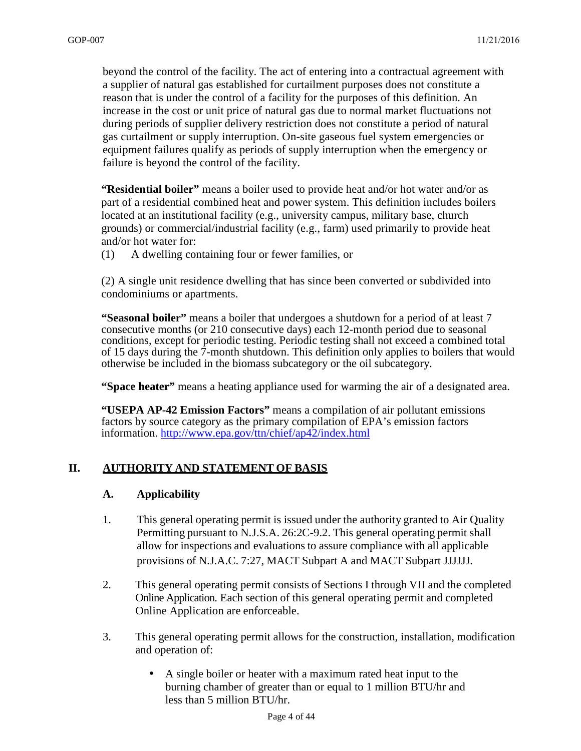beyond the control of the facility. The act of entering into a contractual agreement with a supplier of natural gas established for curtailment purposes does not constitute a reason that is under the control of a facility for the purposes of this definition. An increase in the cost or unit price of natural gas due to normal market fluctuations not during periods of supplier delivery restriction does not constitute a period of natural gas curtailment or supply interruption. On-site gaseous fuel system emergencies or equipment failures qualify as periods of supply interruption when the emergency or failure is beyond the control of the facility.

**"Residential boiler"** means a boiler used to provide heat and/or hot water and/or as part of a residential combined heat and power system. This definition includes boilers located at an institutional facility (e.g., university campus, military base, church grounds) or commercial/industrial facility (e.g., farm) used primarily to provide heat and/or hot water for:

(1) A dwelling containing four or fewer families, or

(2) A single unit residence dwelling that has since been converted or subdivided into condominiums or apartments.

**"Seasonal boiler"** means a boiler that undergoes a shutdown for a period of at least 7 consecutive months (or 210 consecutive days) each 12-month period due to seasonal conditions, except for periodic testing. Periodic testing shall not exceed a combined total of 15 days during the 7-month shutdown. This definition only applies to boilers that would otherwise be included in the biomass subcategory or the oil subcategory.

**"Space heater"** means a heating appliance used for warming the air of a designated area.

**"USEPA AP-42 Emission Factors"** means a compilation of air pollutant emissions factors by source category as the primary compilation of EPA's emission factors information. http://www.epa.gov/ttn/chief/ap42/index.html

#### **II. AUTHORITY AND STATEMENT OF BASIS**

#### **A. Applicability**

- 1. This general operating permit is issued under the authority granted to Air Quality Permitting pursuant to N.J.S.A. 26:2C-9.2. This general operating permit shall allow for inspections and evaluations to assure compliance with all applicable provisions of N.J.A.C. 7:27, MACT Subpart A and MACT Subpart JJJJJJ.
- 2. This general operating permit consists of Sections I through VII and the completed Online Application. Each section of this general operating permit and completed Online Application are enforceable.
- 3. This general operating permit allows for the construction, installation, modification and operation of:
	- A single boiler or heater with a maximum rated heat input to the burning chamber of greater than or equal to 1 million BTU/hr and less than 5 million BTU/hr.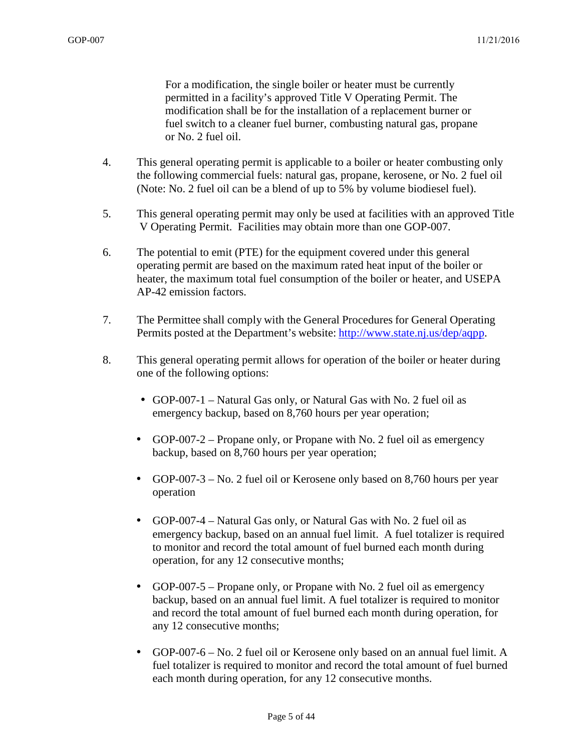For a modification, the single boiler or heater must be currently permitted in a facility's approved Title V Operating Permit. The modification shall be for the installation of a replacement burner or fuel switch to a cleaner fuel burner, combusting natural gas, propane or No. 2 fuel oil.

- 4. This general operating permit is applicable to a boiler or heater combusting only the following commercial fuels: natural gas, propane, kerosene, or No. 2 fuel oil (Note: No. 2 fuel oil can be a blend of up to 5% by volume biodiesel fuel).
- 5. This general operating permit may only be used at facilities with an approved Title V Operating Permit. Facilities may obtain more than one GOP-007.
- 6. The potential to emit (PTE) for the equipment covered under this general operating permit are based on the maximum rated heat input of the boiler or heater, the maximum total fuel consumption of the boiler or heater, and USEPA AP-42 emission factors.
- 7. The Permittee shall comply with the General Procedures for General Operating Permits posted at the Department's website: http://www.state.nj.us/dep/aqpp.
- 8. This general operating permit allows for operation of the boiler or heater during one of the following options:
	- GOP-007-1 Natural Gas only, or Natural Gas with No. 2 fuel oil as emergency backup, based on 8,760 hours per year operation;
	- GOP-007-2 Propane only, or Propane with No. 2 fuel oil as emergency backup, based on 8,760 hours per year operation;
	- GOP-007-3 No. 2 fuel oil or Kerosene only based on 8,760 hours per year operation
	- GOP-007-4 Natural Gas only, or Natural Gas with No. 2 fuel oil as emergency backup, based on an annual fuel limit. A fuel totalizer is required to monitor and record the total amount of fuel burned each month during operation, for any 12 consecutive months;
	- GOP-007-5 Propane only, or Propane with No. 2 fuel oil as emergency backup, based on an annual fuel limit. A fuel totalizer is required to monitor and record the total amount of fuel burned each month during operation, for any 12 consecutive months;
	- GOP-007-6 No. 2 fuel oil or Kerosene only based on an annual fuel limit. A fuel totalizer is required to monitor and record the total amount of fuel burned each month during operation, for any 12 consecutive months.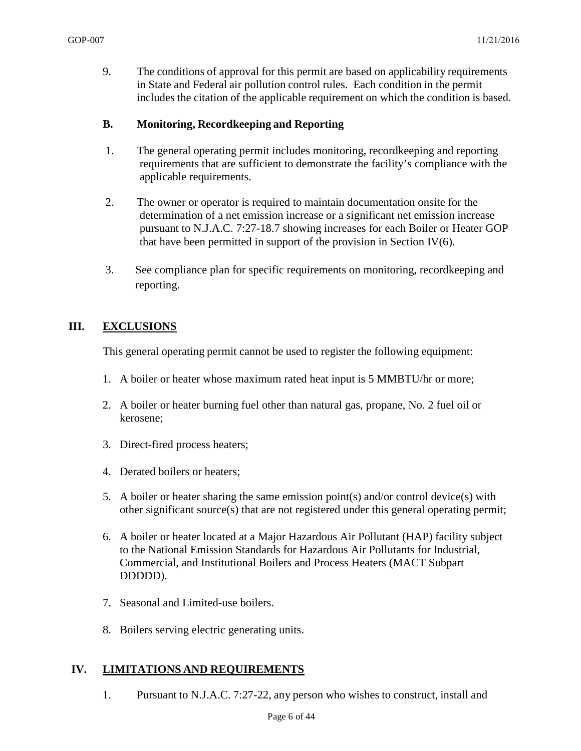9. The conditions of approval for this permit are based on applicability requirements in State and Federal air pollution control rules. Each condition in the permit includes the citation of the applicable requirement on which the condition is based.

#### **B. Monitoring, Recordkeeping and Reporting**

- 1. The general operating permit includes monitoring, recordkeeping and reporting requirements that are sufficient to demonstrate the facility's compliance with the applicable requirements.
- 2. The owner or operator is required to maintain documentation onsite for the determination of a net emission increase or a significant net emission increase pursuant to N.J.A.C. 7:27-18.7 showing increases for each Boiler or Heater GOP that have been permitted in support of the provision in Section IV $(6)$ .
- 3. See compliance plan for specific requirements on monitoring, recordkeeping and reporting.

#### **III. EXCLUSIONS**

This general operating permit cannot be used to register the following equipment:

- 1. A boiler or heater whose maximum rated heat input is 5 MMBTU/hr or more;
- 2. A boiler or heater burning fuel other than natural gas, propane, No. 2 fuel oil or kerosene;
- 3. Direct-fired process heaters;
- 4. Derated boilers or heaters;
- 5. A boiler or heater sharing the same emission point(s) and/or control device(s) with other significant source(s) that are not registered under this general operating permit;
- 6. A boiler or heater located at a Major Hazardous Air Pollutant (HAP) facility subject to the National Emission Standards for Hazardous Air Pollutants for Industrial, Commercial, and Institutional Boilers and Process Heaters (MACT Subpart DDDDD).
- 7. Seasonal and Limited-use boilers.
- 8. Boilers serving electric generating units.

#### **IV. LIMITATIONS AND REQUIREMENTS**

1. Pursuant to N.J.A.C. 7:27-22, any person who wishes to construct, install and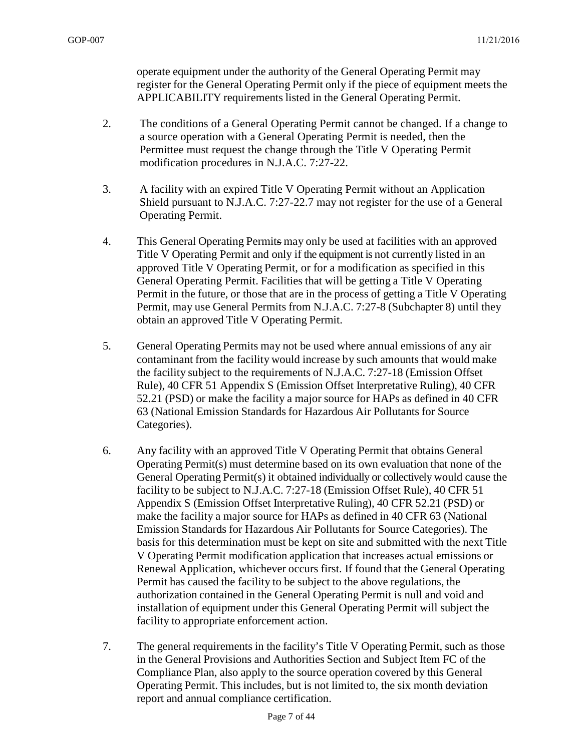operate equipment under the authority of the General Operating Permit may register for the General Operating Permit only if the piece of equipment meets the APPLICABILITY requirements listed in the General Operating Permit.

- 2. The conditions of a General Operating Permit cannot be changed. If a change to a source operation with a General Operating Permit is needed, then the Permittee must request the change through the Title V Operating Permit modification procedures in N.J.A.C. 7:27-22.
- 3. A facility with an expired Title V Operating Permit without an Application Shield pursuant to N.J.A.C. 7:27-22.7 may not register for the use of a General Operating Permit.
- 4. This General Operating Permits may only be used at facilities with an approved Title V Operating Permit and only if the equipment is not currently listed in an approved Title V Operating Permit, or for a modification as specified in this General Operating Permit. Facilities that will be getting a Title V Operating Permit in the future, or those that are in the process of getting a Title V Operating Permit, may use General Permits from N.J.A.C. 7:27-8 (Subchapter 8) until they obtain an approved Title V Operating Permit.
- 5. General Operating Permits may not be used where annual emissions of any air contaminant from the facility would increase by such amounts that would make the facility subject to the requirements of N.J.A.C. 7:27-18 (Emission Offset Rule), 40 CFR 51 Appendix S (Emission Offset Interpretative Ruling), 40 CFR 52.21 (PSD) or make the facility a major source for HAPs as defined in 40 CFR 63 (National Emission Standards for Hazardous Air Pollutants for Source Categories).
- 6. Any facility with an approved Title V Operating Permit that obtains General Operating Permit(s) must determine based on its own evaluation that none of the General Operating Permit(s) it obtained individually or collectively would cause the facility to be subject to N.J.A.C. 7:27-18 (Emission Offset Rule), 40 CFR 51 Appendix S (Emission Offset Interpretative Ruling), 40 CFR 52.21 (PSD) or make the facility a major source for HAPs as defined in 40 CFR 63 (National Emission Standards for Hazardous Air Pollutants for Source Categories). The basis for this determination must be kept on site and submitted with the next Title V Operating Permit modification application that increases actual emissions or Renewal Application, whichever occurs first. If found that the General Operating Permit has caused the facility to be subject to the above regulations, the authorization contained in the General Operating Permit is null and void and installation of equipment under this General Operating Permit will subject the facility to appropriate enforcement action.
- 7. The general requirements in the facility's Title V Operating Permit, such as those in the General Provisions and Authorities Section and Subject Item FC of the Compliance Plan, also apply to the source operation covered by this General Operating Permit. This includes, but is not limited to, the six month deviation report and annual compliance certification.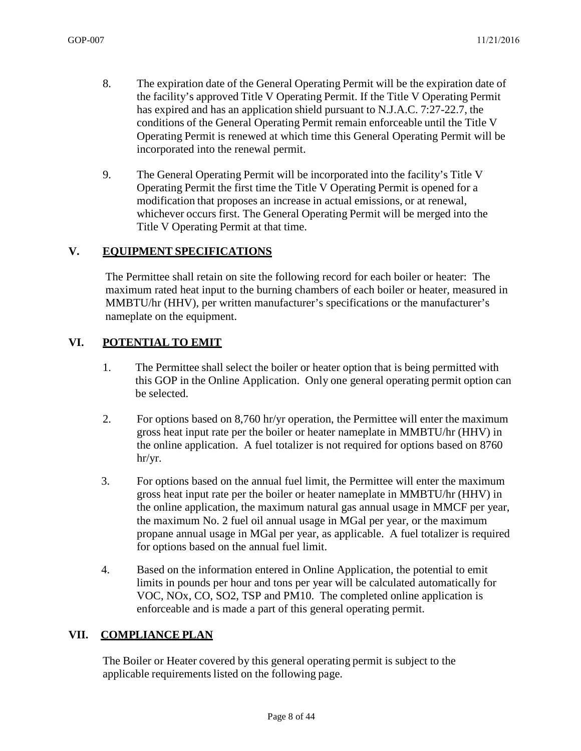- 8. The expiration date of the General Operating Permit will be the expiration date of the facility's approved Title V Operating Permit. If the Title V Operating Permit has expired and has an application shield pursuant to N.J.A.C. 7:27-22.7, the conditions of the General Operating Permit remain enforceable until the Title V Operating Permit is renewed at which time this General Operating Permit will be incorporated into the renewal permit.
- 9. The General Operating Permit will be incorporated into the facility's Title V Operating Permit the first time the Title V Operating Permit is opened for a modification that proposes an increase in actual emissions, or at renewal, whichever occurs first. The General Operating Permit will be merged into the Title V Operating Permit at that time.

#### **V. EQUIPMENT SPECIFICATIONS**

The Permittee shall retain on site the following record for each boiler or heater: The maximum rated heat input to the burning chambers of each boiler or heater, measured in MMBTU/hr (HHV), per written manufacturer's specifications or the manufacturer's nameplate on the equipment.

#### **VI. POTENTIAL TO EMIT**

- 1. The Permittee shall select the boiler or heater option that is being permitted with this GOP in the Online Application. Only one general operating permit option can be selected.
- 2. For options based on 8,760 hr/yr operation, the Permittee will enter the maximum gross heat input rate per the boiler or heater nameplate in MMBTU/hr (HHV) in the online application. A fuel totalizer is not required for options based on 8760 hr/yr.
- 3. For options based on the annual fuel limit, the Permittee will enter the maximum gross heat input rate per the boiler or heater nameplate in MMBTU/hr (HHV) in the online application, the maximum natural gas annual usage in MMCF per year, the maximum No. 2 fuel oil annual usage in MGal per year, or the maximum propane annual usage in MGal per year, as applicable. A fuel totalizer is required for options based on the annual fuel limit.
- 4. Based on the information entered in Online Application, the potential to emit limits in pounds per hour and tons per year will be calculated automatically for VOC, NOx, CO, SO2, TSP and PM10. The completed online application is enforceable and is made a part of this general operating permit.

#### **VII. COMPLIANCE PLAN**

The Boiler or Heater covered by this general operating permit is subject to the applicable requirements listed on the following page.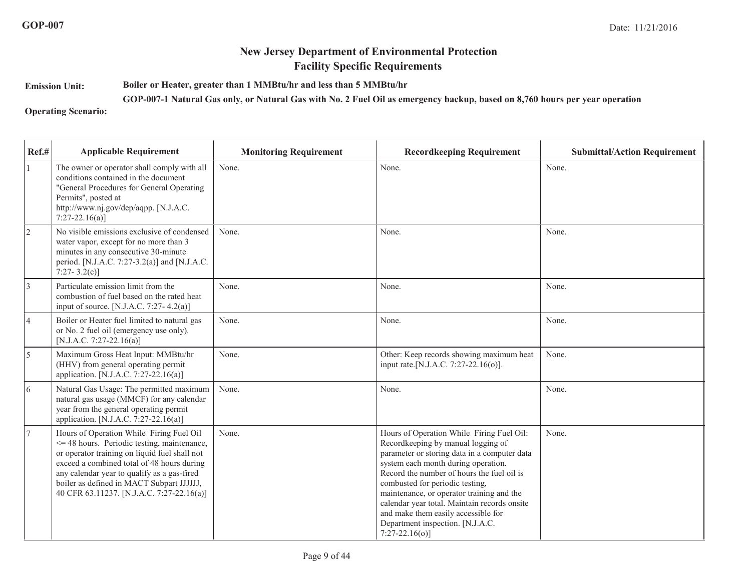**Emission Unit:**

**Boiler or Heater, greater than 1 MMBtu/hr and less than 5 MMBtu/hr**

**GOP-007-1 Natural Gas only, or Natural Gas with No. 2 Fuel Oil as emergency backup, based on 8,760 hours per year operation**

**Operating Scenario:**

| Ref.#           | <b>Applicable Requirement</b>                                                                                                                                                                                                                                                                                                   | <b>Monitoring Requirement</b> | <b>Recordkeeping Requirement</b>                                                                                                                                                                                                                                                                                                                                                                                                                     | <b>Submittal/Action Requirement</b> |
|-----------------|---------------------------------------------------------------------------------------------------------------------------------------------------------------------------------------------------------------------------------------------------------------------------------------------------------------------------------|-------------------------------|------------------------------------------------------------------------------------------------------------------------------------------------------------------------------------------------------------------------------------------------------------------------------------------------------------------------------------------------------------------------------------------------------------------------------------------------------|-------------------------------------|
|                 | The owner or operator shall comply with all<br>conditions contained in the document<br>"General Procedures for General Operating<br>Permits", posted at<br>http://www.nj.gov/dep/aqpp. [N.J.A.C.<br>$7:27-22.16(a)$ ]                                                                                                           | None.                         | None.                                                                                                                                                                                                                                                                                                                                                                                                                                                | None.                               |
| $\vert$ 2       | No visible emissions exclusive of condensed<br>water vapor, except for no more than 3<br>minutes in any consecutive 30-minute<br>period. [N.J.A.C. 7:27-3.2(a)] and [N.J.A.C.<br>$7:27 - 3.2(c)$                                                                                                                                | None.                         | None.                                                                                                                                                                                                                                                                                                                                                                                                                                                | None.                               |
| $\vert 3 \vert$ | Particulate emission limit from the<br>combustion of fuel based on the rated heat<br>input of source. [N.J.A.C. 7:27-4.2(a)]                                                                                                                                                                                                    | None.                         | None.                                                                                                                                                                                                                                                                                                                                                                                                                                                | None.                               |
| 4               | Boiler or Heater fuel limited to natural gas<br>or No. 2 fuel oil (emergency use only).<br>[N.J.A.C. 7:27-22.16(a)]                                                                                                                                                                                                             | None.                         | None.                                                                                                                                                                                                                                                                                                                                                                                                                                                | None.                               |
| 5               | Maximum Gross Heat Input: MMBtu/hr<br>(HHV) from general operating permit<br>application. [N.J.A.C. 7:27-22.16(a)]                                                                                                                                                                                                              | None.                         | Other: Keep records showing maximum heat<br>input rate. [N.J.A.C. 7:27-22.16(o)].                                                                                                                                                                                                                                                                                                                                                                    | None.                               |
| 6               | Natural Gas Usage: The permitted maximum<br>natural gas usage (MMCF) for any calendar<br>year from the general operating permit<br>application. [N.J.A.C. 7:27-22.16(a)]                                                                                                                                                        | None.                         | None.                                                                                                                                                                                                                                                                                                                                                                                                                                                | None.                               |
| $\overline{7}$  | Hours of Operation While Firing Fuel Oil<br><= 48 hours. Periodic testing, maintenance,<br>or operator training on liquid fuel shall not<br>exceed a combined total of 48 hours during<br>any calendar year to qualify as a gas-fired<br>boiler as defined in MACT Subpart JJJJJJ,<br>40 CFR 63.11237. [N.J.A.C. 7:27-22.16(a)] | None.                         | Hours of Operation While Firing Fuel Oil:<br>Recordkeeping by manual logging of<br>parameter or storing data in a computer data<br>system each month during operation.<br>Record the number of hours the fuel oil is<br>combusted for periodic testing,<br>maintenance, or operator training and the<br>calendar year total. Maintain records onsite<br>and make them easily accessible for<br>Department inspection. [N.J.A.C.<br>$7:27-22.16(o)$ ] | None.                               |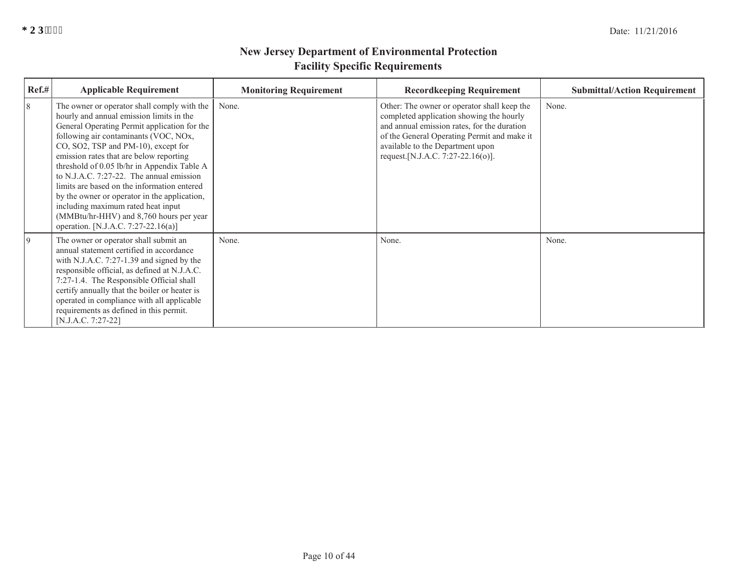| Ref.# | <b>Applicable Requirement</b>                                                                                                                                                                                                                                                                                                                                                                                                                                                                                                                                                           | <b>Monitoring Requirement</b> | <b>Recordkeeping Requirement</b>                                                                                                                                                                                                                                | <b>Submittal/Action Requirement</b> |
|-------|-----------------------------------------------------------------------------------------------------------------------------------------------------------------------------------------------------------------------------------------------------------------------------------------------------------------------------------------------------------------------------------------------------------------------------------------------------------------------------------------------------------------------------------------------------------------------------------------|-------------------------------|-----------------------------------------------------------------------------------------------------------------------------------------------------------------------------------------------------------------------------------------------------------------|-------------------------------------|
| 8     | The owner or operator shall comply with the<br>hourly and annual emission limits in the<br>General Operating Permit application for the<br>following air contaminants (VOC, NOx,<br>CO, SO2, TSP and PM-10), except for<br>emission rates that are below reporting<br>threshold of 0.05 lb/hr in Appendix Table A<br>to N.J.A.C. $7:27-22$ . The annual emission<br>limits are based on the information entered<br>by the owner or operator in the application,<br>including maximum rated heat input<br>(MMBtu/hr-HHV) and 8,760 hours per year<br>operation. [N.J.A.C. 7:27-22.16(a)] | None.                         | Other: The owner or operator shall keep the<br>completed application showing the hourly<br>and annual emission rates, for the duration<br>of the General Operating Permit and make it<br>available to the Department upon<br>request. [N.J.A.C. 7:27-22.16(o)]. | None.                               |
| 9     | The owner or operator shall submit an<br>annual statement certified in accordance<br>with N.J.A.C. 7:27-1.39 and signed by the<br>responsible official, as defined at N.J.A.C.<br>7:27-1.4. The Responsible Official shall<br>certify annually that the boiler or heater is<br>operated in compliance with all applicable<br>requirements as defined in this permit.<br>$[N.J.A.C. 7:27-22]$                                                                                                                                                                                            | None.                         | None.                                                                                                                                                                                                                                                           | None.                               |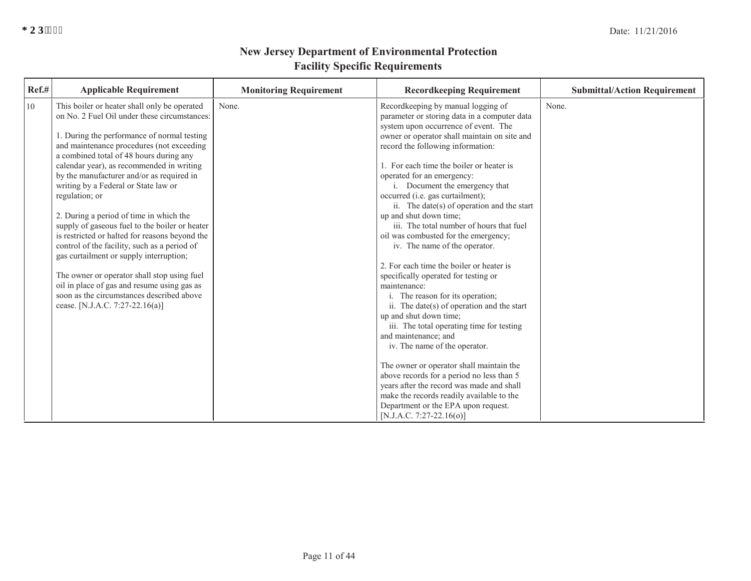| Ref.# | <b>Applicable Requirement</b>                                                                                                             | <b>Monitoring Requirement</b> | <b>Recordkeeping Requirement</b>                                                                                                    | <b>Submittal/Action Requirement</b> |
|-------|-------------------------------------------------------------------------------------------------------------------------------------------|-------------------------------|-------------------------------------------------------------------------------------------------------------------------------------|-------------------------------------|
| 10    | This boiler or heater shall only be operated<br>on No. 2 Fuel Oil under these circumstances:                                              | None.                         | Recordkeeping by manual logging of<br>parameter or storing data in a computer data                                                  | None.                               |
|       | 1. During the performance of normal testing<br>and maintenance procedures (not exceeding                                                  |                               | system upon occurrence of event. The<br>owner or operator shall maintain on site and<br>record the following information:           |                                     |
|       | a combined total of 48 hours during any<br>calendar year), as recommended in writing<br>by the manufacturer and/or as required in         |                               | 1. For each time the boiler or heater is<br>operated for an emergency:                                                              |                                     |
|       | writing by a Federal or State law or<br>regulation; or                                                                                    |                               | i. Document the emergency that<br>occurred (i.e. gas curtailment);<br>ii. The date(s) of operation and the start                    |                                     |
|       | 2. During a period of time in which the<br>supply of gaseous fuel to the boiler or heater                                                 |                               | up and shut down time;<br>iii. The total number of hours that fuel                                                                  |                                     |
|       | is restricted or halted for reasons beyond the<br>control of the facility, such as a period of<br>gas curtailment or supply interruption; |                               | oil was combusted for the emergency;<br>iv. The name of the operator.                                                               |                                     |
|       | The owner or operator shall stop using fuel<br>oil in place of gas and resume using gas as                                                |                               | 2. For each time the boiler or heater is<br>specifically operated for testing or<br>maintenance:                                    |                                     |
|       | soon as the circumstances described above<br>cease. [N.J.A.C. 7:27-22.16(a)]                                                              |                               | i. The reason for its operation;<br>ii. The date(s) of operation and the start                                                      |                                     |
|       |                                                                                                                                           |                               | up and shut down time;<br>iii. The total operating time for testing<br>and maintenance; and                                         |                                     |
|       |                                                                                                                                           |                               | iv. The name of the operator.<br>The owner or operator shall maintain the                                                           |                                     |
|       |                                                                                                                                           |                               | above records for a period no less than 5<br>years after the record was made and shall<br>make the records readily available to the |                                     |
|       |                                                                                                                                           |                               | Department or the EPA upon request.<br>[N.J.A.C. 7:27-22.16(o)]                                                                     |                                     |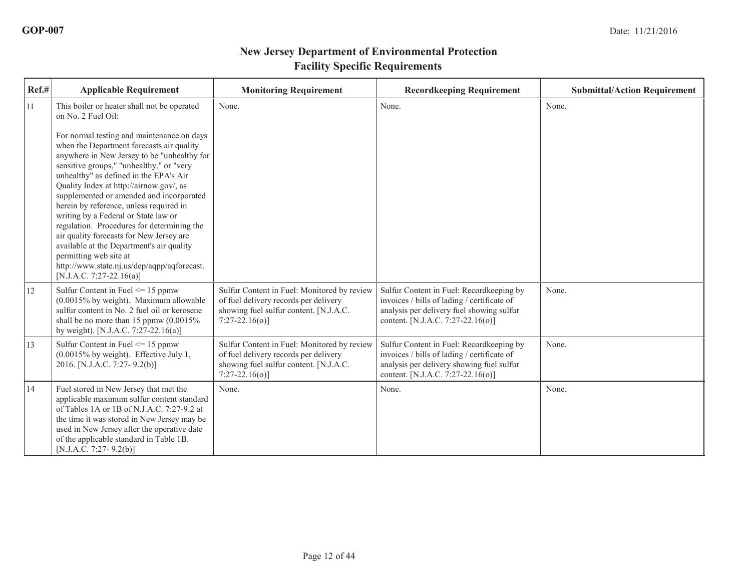| Ref.# | <b>Applicable Requirement</b>                                                                                                                                                                                                                                                                                                                                                                                                                                                                                                                                                                                                                                                                                           | <b>Monitoring Requirement</b>                                                                                                                     | <b>Recordkeeping Requirement</b>                                                                                                                                          | <b>Submittal/Action Requirement</b> |
|-------|-------------------------------------------------------------------------------------------------------------------------------------------------------------------------------------------------------------------------------------------------------------------------------------------------------------------------------------------------------------------------------------------------------------------------------------------------------------------------------------------------------------------------------------------------------------------------------------------------------------------------------------------------------------------------------------------------------------------------|---------------------------------------------------------------------------------------------------------------------------------------------------|---------------------------------------------------------------------------------------------------------------------------------------------------------------------------|-------------------------------------|
| 11    | This boiler or heater shall not be operated<br>on No. 2 Fuel Oil:<br>For normal testing and maintenance on days<br>when the Department forecasts air quality<br>anywhere in New Jersey to be "unhealthy for<br>sensitive groups," "unhealthy," or "very<br>unhealthy" as defined in the EPA's Air<br>Quality Index at http://airnow.gov/, as<br>supplemented or amended and incorporated<br>herein by reference, unless required in<br>writing by a Federal or State law or<br>regulation. Procedures for determining the<br>air quality forecasts for New Jersey are<br>available at the Department's air quality<br>permitting web site at<br>http://www.state.nj.us/dep/aqpp/aqforecast.<br>[N.J.A.C. 7:27-22.16(a)] | None.                                                                                                                                             | None.                                                                                                                                                                     | None.                               |
| 12    | Sulfur Content in Fuel $\leq$ 15 ppmw<br>$(0.0015\%$ by weight). Maximum allowable<br>sulfur content in No. 2 fuel oil or kerosene<br>shall be no more than 15 ppmw $(0.0015\%$<br>by weight). [N.J.A.C. 7:27-22.16(a)]                                                                                                                                                                                                                                                                                                                                                                                                                                                                                                 | Sulfur Content in Fuel: Monitored by review<br>of fuel delivery records per delivery<br>showing fuel sulfur content. [N.J.A.C.<br>$7:27-22.16(0)$ | Sulfur Content in Fuel: Recordkeeping by<br>invoices / bills of lading / certificate of<br>analysis per delivery fuel showing sulfur<br>content. [N.J.A.C. 7:27-22.16(o)] | None.                               |
| 13    | Sulfur Content in Fuel $\leq$ 15 ppmw<br>(0.0015% by weight). Effective July 1,<br>2016. [N.J.A.C. 7:27-9.2(b)]                                                                                                                                                                                                                                                                                                                                                                                                                                                                                                                                                                                                         | Sulfur Content in Fuel: Monitored by review<br>of fuel delivery records per delivery<br>showing fuel sulfur content. [N.J.A.C.<br>$7:27-22.16(0)$ | Sulfur Content in Fuel: Recordkeeping by<br>invoices / bills of lading / certificate of<br>analysis per delivery showing fuel sulfur<br>content. [N.J.A.C. 7:27-22.16(o)] | None.                               |
| 14    | Fuel stored in New Jersey that met the<br>applicable maximum sulfur content standard<br>of Tables 1A or 1B of N.J.A.C. 7:27-9.2 at<br>the time it was stored in New Jersey may be<br>used in New Jersey after the operative date<br>of the applicable standard in Table 1B.<br>$[N.J.A.C. 7:27-9.2(b)]$                                                                                                                                                                                                                                                                                                                                                                                                                 | None.                                                                                                                                             | None.                                                                                                                                                                     | None.                               |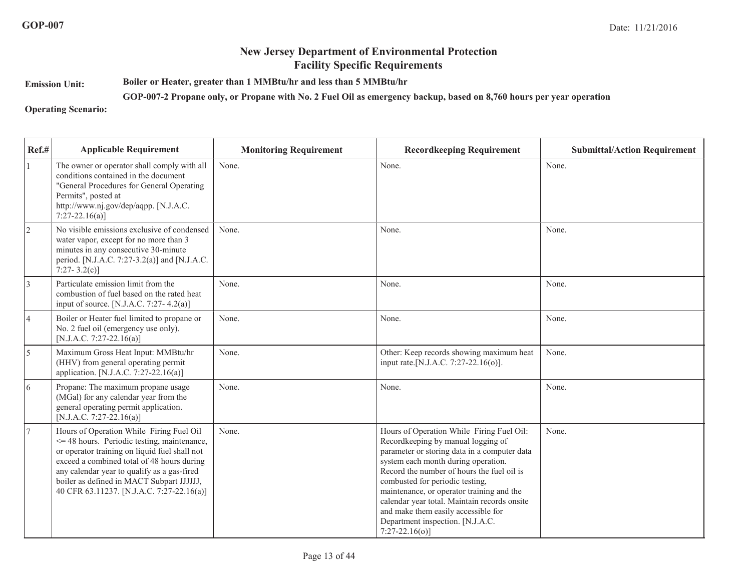**Emission Unit:**

**Boiler or Heater, greater than 1 MMBtu/hr and less than 5 MMBtu/hr**

**GOP-007-2 Propane only, or Propane with No. 2 Fuel Oil as emergency backup, based on 8,760 hours per year operation**

**Operating Scenario:**

| Ref.#           | <b>Applicable Requirement</b>                                                                                                                                                                                                                                                                                                       | <b>Monitoring Requirement</b> | <b>Recordkeeping Requirement</b>                                                                                                                                                                                                                                                                                                                                                                                                                     | <b>Submittal/Action Requirement</b> |
|-----------------|-------------------------------------------------------------------------------------------------------------------------------------------------------------------------------------------------------------------------------------------------------------------------------------------------------------------------------------|-------------------------------|------------------------------------------------------------------------------------------------------------------------------------------------------------------------------------------------------------------------------------------------------------------------------------------------------------------------------------------------------------------------------------------------------------------------------------------------------|-------------------------------------|
|                 | The owner or operator shall comply with all<br>conditions contained in the document<br>"General Procedures for General Operating<br>Permits", posted at<br>http://www.nj.gov/dep/aqpp. [N.J.A.C.<br>$7:27-22.16(a)$ ]                                                                                                               | None.                         | None.                                                                                                                                                                                                                                                                                                                                                                                                                                                | None.                               |
| $\overline{2}$  | No visible emissions exclusive of condensed<br>water vapor, except for no more than 3<br>minutes in any consecutive 30-minute<br>period. [N.J.A.C. 7:27-3.2(a)] and [N.J.A.C.<br>7:27-3.2(c)]                                                                                                                                       | None.                         | None.                                                                                                                                                                                                                                                                                                                                                                                                                                                | None.                               |
| $\vert$ 3       | Particulate emission limit from the<br>combustion of fuel based on the rated heat<br>input of source. [N.J.A.C. 7:27-4.2(a)]                                                                                                                                                                                                        | None.                         | None.                                                                                                                                                                                                                                                                                                                                                                                                                                                | None.                               |
| $\vert 4 \vert$ | Boiler or Heater fuel limited to propane or<br>No. 2 fuel oil (emergency use only).<br>[N.J.A.C. 7:27-22.16(a)]                                                                                                                                                                                                                     | None.                         | None.                                                                                                                                                                                                                                                                                                                                                                                                                                                | None.                               |
| $\overline{5}$  | Maximum Gross Heat Input: MMBtu/hr<br>(HHV) from general operating permit<br>application. [N.J.A.C. 7:27-22.16(a)]                                                                                                                                                                                                                  | None.                         | Other: Keep records showing maximum heat<br>input rate.[N.J.A.C. 7:27-22.16(o)].                                                                                                                                                                                                                                                                                                                                                                     | None.                               |
| $\overline{6}$  | Propane: The maximum propane usage<br>(MGal) for any calendar year from the<br>general operating permit application.<br>[N.J.A.C. 7:27-22.16(a)]                                                                                                                                                                                    | None.                         | None.                                                                                                                                                                                                                                                                                                                                                                                                                                                | None.                               |
| 17              | Hours of Operation While Firing Fuel Oil<br>$\leq$ 48 hours. Periodic testing, maintenance,<br>or operator training on liquid fuel shall not<br>exceed a combined total of 48 hours during<br>any calendar year to qualify as a gas-fired<br>boiler as defined in MACT Subpart JJJJJJ,<br>40 CFR 63.11237. [N.J.A.C. 7:27-22.16(a)] | None.                         | Hours of Operation While Firing Fuel Oil:<br>Recordkeeping by manual logging of<br>parameter or storing data in a computer data<br>system each month during operation.<br>Record the number of hours the fuel oil is<br>combusted for periodic testing,<br>maintenance, or operator training and the<br>calendar year total. Maintain records onsite<br>and make them easily accessible for<br>Department inspection. [N.J.A.C.<br>$7:27-22.16(o)$ ] | None.                               |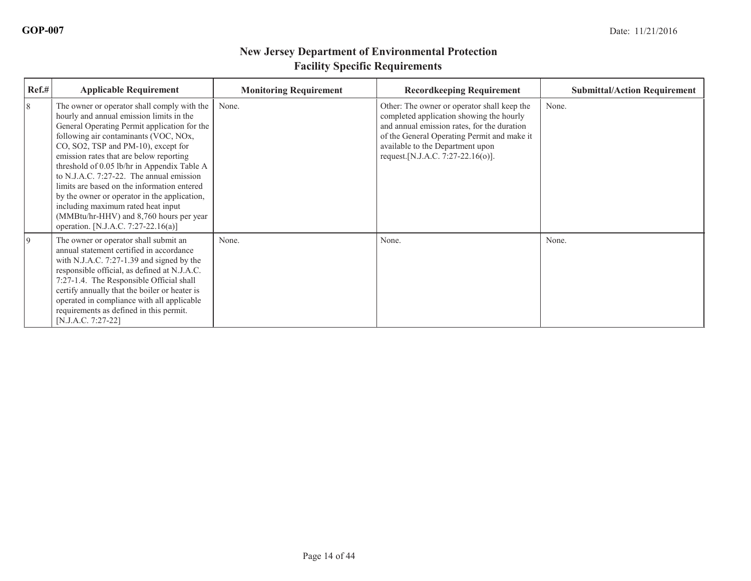| Ref.# | <b>Applicable Requirement</b>                                                                                                                                                                                                                                                                                                                                                                                                                                                                                                                                                        | <b>Monitoring Requirement</b> | <b>Recordkeeping Requirement</b>                                                                                                                                                                                                                                | <b>Submittal/Action Requirement</b> |
|-------|--------------------------------------------------------------------------------------------------------------------------------------------------------------------------------------------------------------------------------------------------------------------------------------------------------------------------------------------------------------------------------------------------------------------------------------------------------------------------------------------------------------------------------------------------------------------------------------|-------------------------------|-----------------------------------------------------------------------------------------------------------------------------------------------------------------------------------------------------------------------------------------------------------------|-------------------------------------|
| 8     | The owner or operator shall comply with the<br>hourly and annual emission limits in the<br>General Operating Permit application for the<br>following air contaminants (VOC, NOx,<br>CO, SO2, TSP and PM-10), except for<br>emission rates that are below reporting<br>threshold of 0.05 lb/hr in Appendix Table A<br>to N.J.A.C. 7:27-22. The annual emission<br>limits are based on the information entered<br>by the owner or operator in the application,<br>including maximum rated heat input<br>(MMBtu/hr-HHV) and 8,760 hours per year<br>operation. [N.J.A.C. 7:27-22.16(a)] | None.                         | Other: The owner or operator shall keep the<br>completed application showing the hourly<br>and annual emission rates, for the duration<br>of the General Operating Permit and make it<br>available to the Department upon<br>request. [N.J.A.C. 7:27-22.16(o)]. | None.                               |
| 9     | The owner or operator shall submit an<br>annual statement certified in accordance<br>with N.J.A.C. 7:27-1.39 and signed by the<br>responsible official, as defined at N.J.A.C.<br>7:27-1.4. The Responsible Official shall<br>certify annually that the boiler or heater is<br>operated in compliance with all applicable<br>requirements as defined in this permit.<br>$[N.J.A.C. 7:27-22]$                                                                                                                                                                                         | None.                         | None.                                                                                                                                                                                                                                                           | None.                               |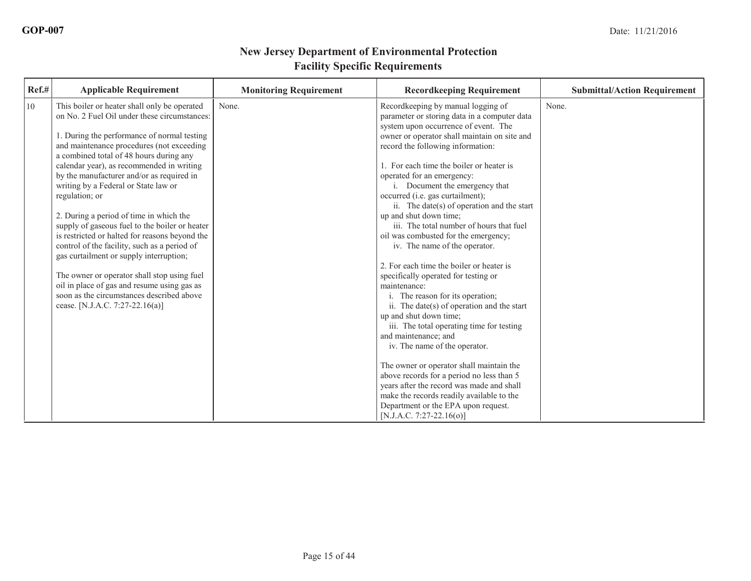| 10<br>This boiler or heater shall only be operated<br>None.<br>None.<br>Recordkeeping by manual logging of<br>on No. 2 Fuel Oil under these circumstances:<br>parameter or storing data in a computer data<br>system upon occurrence of event. The<br>1. During the performance of normal testing<br>owner or operator shall maintain on site and<br>and maintenance procedures (not exceeding<br>record the following information:<br>a combined total of 48 hours during any<br>1. For each time the boiler or heater is<br>calendar year), as recommended in writing<br>by the manufacturer and/or as required in<br>operated for an emergency:<br>writing by a Federal or State law or<br>i. Document the emergency that<br>occurred (i.e. gas curtailment);<br>regulation; or<br>ii. The date(s) of operation and the start<br>2. During a period of time in which the<br>up and shut down time;<br>iii. The total number of hours that fuel<br>supply of gaseous fuel to the boiler or heater<br>is restricted or halted for reasons beyond the<br>oil was combusted for the emergency;<br>control of the facility, such as a period of<br>iv. The name of the operator.<br>gas curtailment or supply interruption;<br>2. For each time the boiler or heater is<br>The owner or operator shall stop using fuel<br>specifically operated for testing or<br>oil in place of gas and resume using gas as<br>maintenance:<br>soon as the circumstances described above<br>i. The reason for its operation;<br>cease. [N.J.A.C. 7:27-22.16(a)]<br>ii. The date(s) of operation and the start<br>up and shut down time;<br>iii. The total operating time for testing<br>and maintenance; and<br>iv. The name of the operator.<br>The owner or operator shall maintain the<br>above records for a period no less than 5<br>years after the record was made and shall<br>make the records readily available to the<br>Department or the EPA upon request. |  |
|---------------------------------------------------------------------------------------------------------------------------------------------------------------------------------------------------------------------------------------------------------------------------------------------------------------------------------------------------------------------------------------------------------------------------------------------------------------------------------------------------------------------------------------------------------------------------------------------------------------------------------------------------------------------------------------------------------------------------------------------------------------------------------------------------------------------------------------------------------------------------------------------------------------------------------------------------------------------------------------------------------------------------------------------------------------------------------------------------------------------------------------------------------------------------------------------------------------------------------------------------------------------------------------------------------------------------------------------------------------------------------------------------------------------------------------------------------------------------------------------------------------------------------------------------------------------------------------------------------------------------------------------------------------------------------------------------------------------------------------------------------------------------------------------------------------------------------------------------------------------------------------------------------------------------------------------------------|--|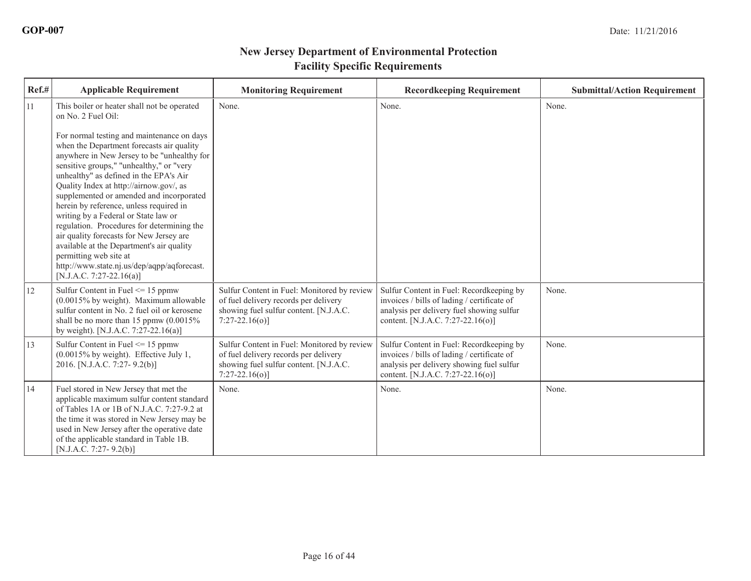| Ref.# | <b>Applicable Requirement</b>                                                                                                                                                                                                                                                                                                                                                                                                                                                                                                                                                                                                                                                                                           | <b>Monitoring Requirement</b>                                                                                                                     | <b>Recordkeeping Requirement</b>                                                                                                                                          | <b>Submittal/Action Requirement</b> |
|-------|-------------------------------------------------------------------------------------------------------------------------------------------------------------------------------------------------------------------------------------------------------------------------------------------------------------------------------------------------------------------------------------------------------------------------------------------------------------------------------------------------------------------------------------------------------------------------------------------------------------------------------------------------------------------------------------------------------------------------|---------------------------------------------------------------------------------------------------------------------------------------------------|---------------------------------------------------------------------------------------------------------------------------------------------------------------------------|-------------------------------------|
| 11    | This boiler or heater shall not be operated<br>on No. 2 Fuel Oil:<br>For normal testing and maintenance on days<br>when the Department forecasts air quality<br>anywhere in New Jersey to be "unhealthy for<br>sensitive groups," "unhealthy," or "very<br>unhealthy" as defined in the EPA's Air<br>Quality Index at http://airnow.gov/, as<br>supplemented or amended and incorporated<br>herein by reference, unless required in<br>writing by a Federal or State law or<br>regulation. Procedures for determining the<br>air quality forecasts for New Jersey are<br>available at the Department's air quality<br>permitting web site at<br>http://www.state.nj.us/dep/aqpp/aqforecast.<br>[N.J.A.C. 7:27-22.16(a)] | None.                                                                                                                                             | None.                                                                                                                                                                     | None.                               |
| 12    | Sulfur Content in Fuel $\leq$ 15 ppmw<br>$(0.0015\%$ by weight). Maximum allowable<br>sulfur content in No. 2 fuel oil or kerosene<br>shall be no more than 15 ppmw $(0.0015\%$<br>by weight). [N.J.A.C. 7:27-22.16(a)]                                                                                                                                                                                                                                                                                                                                                                                                                                                                                                 | Sulfur Content in Fuel: Monitored by review<br>of fuel delivery records per delivery<br>showing fuel sulfur content. [N.J.A.C.<br>$7:27-22.16(0)$ | Sulfur Content in Fuel: Recordkeeping by<br>invoices / bills of lading / certificate of<br>analysis per delivery fuel showing sulfur<br>content. [N.J.A.C. 7:27-22.16(o)] | None.                               |
| 13    | Sulfur Content in Fuel $\leq$ 15 ppmw<br>(0.0015% by weight). Effective July 1,<br>2016. [N.J.A.C. 7:27-9.2(b)]                                                                                                                                                                                                                                                                                                                                                                                                                                                                                                                                                                                                         | Sulfur Content in Fuel: Monitored by review<br>of fuel delivery records per delivery<br>showing fuel sulfur content. [N.J.A.C.<br>$7:27-22.16(0)$ | Sulfur Content in Fuel: Recordkeeping by<br>invoices / bills of lading / certificate of<br>analysis per delivery showing fuel sulfur<br>content. [N.J.A.C. 7:27-22.16(o)] | None.                               |
| 14    | Fuel stored in New Jersey that met the<br>applicable maximum sulfur content standard<br>of Tables 1A or 1B of N.J.A.C. 7:27-9.2 at<br>the time it was stored in New Jersey may be<br>used in New Jersey after the operative date<br>of the applicable standard in Table 1B.<br>$[N.J.A.C. 7:27-9.2(b)]$                                                                                                                                                                                                                                                                                                                                                                                                                 | None.                                                                                                                                             | None.                                                                                                                                                                     | None.                               |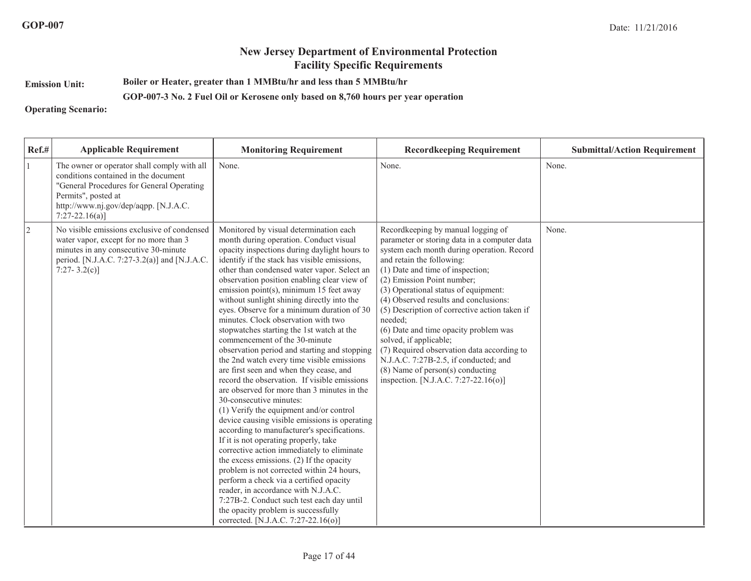**Emission Unit:**

**Boiler or Heater, greater than 1 MMBtu/hr and less than 5 MMBtu/hr**

#### **GOP-007-3 No. 2 Fuel Oil or Kerosene only based on 8,760 hours per year operation**

**Operating Scenario:**

| Ref.#          | <b>Applicable Requirement</b>                                                                                                                                                                                       | <b>Monitoring Requirement</b>                                                                                                                                                                                                                                                                                                                                                                                                                                                                                                                                                                                                                                                                                                                                                                                                                                                                                                                                                                                                                                                                                                                                                                                                                                                                                                                         | <b>Recordkeeping Requirement</b>                                                                                                                                                                                                                                                                                                                                                                                                                                                                                                                                                                                        | <b>Submittal/Action Requirement</b> |
|----------------|---------------------------------------------------------------------------------------------------------------------------------------------------------------------------------------------------------------------|-------------------------------------------------------------------------------------------------------------------------------------------------------------------------------------------------------------------------------------------------------------------------------------------------------------------------------------------------------------------------------------------------------------------------------------------------------------------------------------------------------------------------------------------------------------------------------------------------------------------------------------------------------------------------------------------------------------------------------------------------------------------------------------------------------------------------------------------------------------------------------------------------------------------------------------------------------------------------------------------------------------------------------------------------------------------------------------------------------------------------------------------------------------------------------------------------------------------------------------------------------------------------------------------------------------------------------------------------------|-------------------------------------------------------------------------------------------------------------------------------------------------------------------------------------------------------------------------------------------------------------------------------------------------------------------------------------------------------------------------------------------------------------------------------------------------------------------------------------------------------------------------------------------------------------------------------------------------------------------------|-------------------------------------|
|                | The owner or operator shall comply with all<br>conditions contained in the document<br>"General Procedures for General Operating<br>Permits", posted at<br>http://www.nj.gov/dep/aqpp. [N.J.A.C.<br>$7:27-22.16(a)$ | None.                                                                                                                                                                                                                                                                                                                                                                                                                                                                                                                                                                                                                                                                                                                                                                                                                                                                                                                                                                                                                                                                                                                                                                                                                                                                                                                                                 | None.                                                                                                                                                                                                                                                                                                                                                                                                                                                                                                                                                                                                                   | None.                               |
| $\overline{2}$ | No visible emissions exclusive of condensed<br>water vapor, except for no more than 3<br>minutes in any consecutive 30-minute<br>period. [N.J.A.C. 7:27-3.2(a)] and [N.J.A.C.<br>7:27-3.2(c)]                       | Monitored by visual determination each<br>month during operation. Conduct visual<br>opacity inspections during daylight hours to<br>identify if the stack has visible emissions,<br>other than condensed water vapor. Select an<br>observation position enabling clear view of<br>emission point(s), minimum 15 feet away<br>without sunlight shining directly into the<br>eyes. Observe for a minimum duration of 30<br>minutes. Clock observation with two<br>stopwatches starting the 1st watch at the<br>commencement of the 30-minute<br>observation period and starting and stopping<br>the 2nd watch every time visible emissions<br>are first seen and when they cease, and<br>record the observation. If visible emissions<br>are observed for more than 3 minutes in the<br>30-consecutive minutes:<br>(1) Verify the equipment and/or control<br>device causing visible emissions is operating<br>according to manufacturer's specifications.<br>If it is not operating properly, take<br>corrective action immediately to eliminate<br>the excess emissions. (2) If the opacity<br>problem is not corrected within 24 hours,<br>perform a check via a certified opacity<br>reader, in accordance with N.J.A.C.<br>7:27B-2. Conduct such test each day until<br>the opacity problem is successfully<br>corrected. [N.J.A.C. 7:27-22.16(o)] | Recordkeeping by manual logging of<br>parameter or storing data in a computer data<br>system each month during operation. Record<br>and retain the following:<br>(1) Date and time of inspection;<br>(2) Emission Point number;<br>(3) Operational status of equipment:<br>(4) Observed results and conclusions:<br>(5) Description of corrective action taken if<br>needed;<br>(6) Date and time opacity problem was<br>solved, if applicable;<br>(7) Required observation data according to<br>N.J.A.C. 7:27B-2.5, if conducted; and<br>$(8)$ Name of person $(s)$ conducting<br>inspection. [N.J.A.C. 7:27-22.16(o)] | None.                               |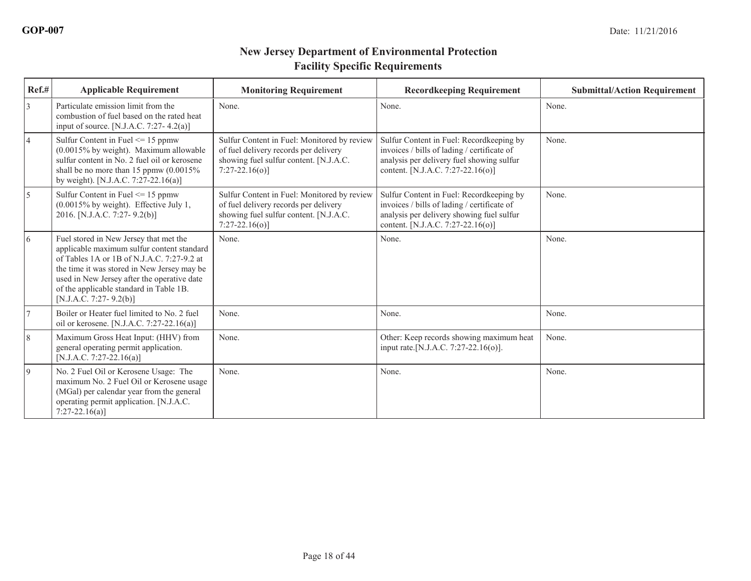| Ref.#          | <b>Applicable Requirement</b>                                                                                                                                                                                                                                                                         | <b>Monitoring Requirement</b>                                                                                                                     | <b>Recordkeeping Requirement</b>                                                                                                                                          | <b>Submittal/Action Requirement</b> |
|----------------|-------------------------------------------------------------------------------------------------------------------------------------------------------------------------------------------------------------------------------------------------------------------------------------------------------|---------------------------------------------------------------------------------------------------------------------------------------------------|---------------------------------------------------------------------------------------------------------------------------------------------------------------------------|-------------------------------------|
| 3              | Particulate emission limit from the<br>combustion of fuel based on the rated heat<br>input of source. [N.J.A.C. 7:27-4.2(a)]                                                                                                                                                                          | None.                                                                                                                                             | None.                                                                                                                                                                     | None.                               |
| $\overline{4}$ | Sulfur Content in Fuel $\leq$ 15 ppmw<br>(0.0015% by weight). Maximum allowable<br>sulfur content in No. 2 fuel oil or kerosene<br>shall be no more than 15 ppmw $(0.0015\%$<br>by weight). [N.J.A.C. 7:27-22.16(a)]                                                                                  | Sulfur Content in Fuel: Monitored by review<br>of fuel delivery records per delivery<br>showing fuel sulfur content. [N.J.A.C.<br>$7:27-22.16(o)$ | Sulfur Content in Fuel: Recordkeeping by<br>invoices / bills of lading / certificate of<br>analysis per delivery fuel showing sulfur<br>content. [N.J.A.C. 7:27-22.16(o)] | None.                               |
| 5              | Sulfur Content in Fuel $\leq$ 15 ppmw<br>$(0.0015\%$ by weight). Effective July 1,<br>2016. [N.J.A.C. 7:27-9.2(b)]                                                                                                                                                                                    | Sulfur Content in Fuel: Monitored by review<br>of fuel delivery records per delivery<br>showing fuel sulfur content. [N.J.A.C.<br>$7:27-22.16(o)$ | Sulfur Content in Fuel: Recordkeeping by<br>invoices / bills of lading / certificate of<br>analysis per delivery showing fuel sulfur<br>content. [N.J.A.C. 7:27-22.16(o)] | None.                               |
| 6              | Fuel stored in New Jersey that met the<br>applicable maximum sulfur content standard<br>of Tables 1A or 1B of N.J.A.C. 7:27-9.2 at<br>the time it was stored in New Jersey may be<br>used in New Jersey after the operative date<br>of the applicable standard in Table 1B.<br>[N.J.A.C. 7:27-9.2(b)] | None.                                                                                                                                             | None.                                                                                                                                                                     | None.                               |
| $\overline{7}$ | Boiler or Heater fuel limited to No. 2 fuel<br>oil or kerosene. [N.J.A.C. 7:27-22.16(a)]                                                                                                                                                                                                              | None.                                                                                                                                             | None.                                                                                                                                                                     | None.                               |
| $\sqrt{8}$     | Maximum Gross Heat Input: (HHV) from<br>general operating permit application.<br>[N.J.A.C. 7:27-22.16(a)]                                                                                                                                                                                             | None.                                                                                                                                             | Other: Keep records showing maximum heat<br>input rate.[N.J.A.C. 7:27-22.16(o)].                                                                                          | None.                               |
| 9              | No. 2 Fuel Oil or Kerosene Usage: The<br>maximum No. 2 Fuel Oil or Kerosene usage<br>(MGal) per calendar year from the general<br>operating permit application. [N.J.A.C.<br>$7:27-22.16(a)$                                                                                                          | None.                                                                                                                                             | None.                                                                                                                                                                     | None.                               |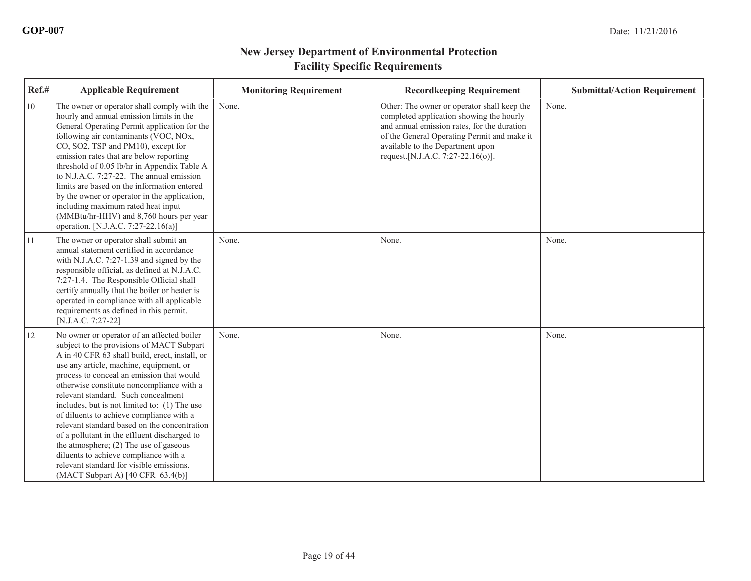| Ref.# | <b>Applicable Requirement</b>                                                                                                                                                                                                                                                                                                                                                                                                                                                                                                                                                                                                                                                                    | <b>Monitoring Requirement</b> | <b>Recordkeeping Requirement</b>                                                                                                                                                                                                                                | <b>Submittal/Action Requirement</b> |
|-------|--------------------------------------------------------------------------------------------------------------------------------------------------------------------------------------------------------------------------------------------------------------------------------------------------------------------------------------------------------------------------------------------------------------------------------------------------------------------------------------------------------------------------------------------------------------------------------------------------------------------------------------------------------------------------------------------------|-------------------------------|-----------------------------------------------------------------------------------------------------------------------------------------------------------------------------------------------------------------------------------------------------------------|-------------------------------------|
| 10    | The owner or operator shall comply with the<br>hourly and annual emission limits in the<br>General Operating Permit application for the<br>following air contaminants (VOC, NOx,<br>CO, SO2, TSP and PM10), except for<br>emission rates that are below reporting<br>threshold of 0.05 lb/hr in Appendix Table A<br>to N.J.A.C. 7:27-22. The annual emission<br>limits are based on the information entered<br>by the owner or operator in the application,<br>including maximum rated heat input<br>(MMBtu/hr-HHV) and 8,760 hours per year<br>operation. [N.J.A.C. 7:27-22.16(a)]                                                                                                              | None.                         | Other: The owner or operator shall keep the<br>completed application showing the hourly<br>and annual emission rates, for the duration<br>of the General Operating Permit and make it<br>available to the Department upon<br>request. [N.J.A.C. 7:27-22.16(o)]. | None.                               |
| 11    | The owner or operator shall submit an<br>annual statement certified in accordance<br>with N.J.A.C. 7:27-1.39 and signed by the<br>responsible official, as defined at N.J.A.C.<br>7:27-1.4. The Responsible Official shall<br>certify annually that the boiler or heater is<br>operated in compliance with all applicable<br>requirements as defined in this permit.<br>[N.J.A.C. 7:27-22]                                                                                                                                                                                                                                                                                                       | None.                         | None.                                                                                                                                                                                                                                                           | None.                               |
| 12    | No owner or operator of an affected boiler<br>subject to the provisions of MACT Subpart<br>A in 40 CFR 63 shall build, erect, install, or<br>use any article, machine, equipment, or<br>process to conceal an emission that would<br>otherwise constitute noncompliance with a<br>relevant standard. Such concealment<br>includes, but is not limited to: (1) The use<br>of diluents to achieve compliance with a<br>relevant standard based on the concentration<br>of a pollutant in the effluent discharged to<br>the atmosphere; (2) The use of gaseous<br>diluents to achieve compliance with a<br>relevant standard for visible emissions.<br>(MACT Subpart A) $[40 \text{ CFR } 63.4(b)]$ | None.                         | None.                                                                                                                                                                                                                                                           | None.                               |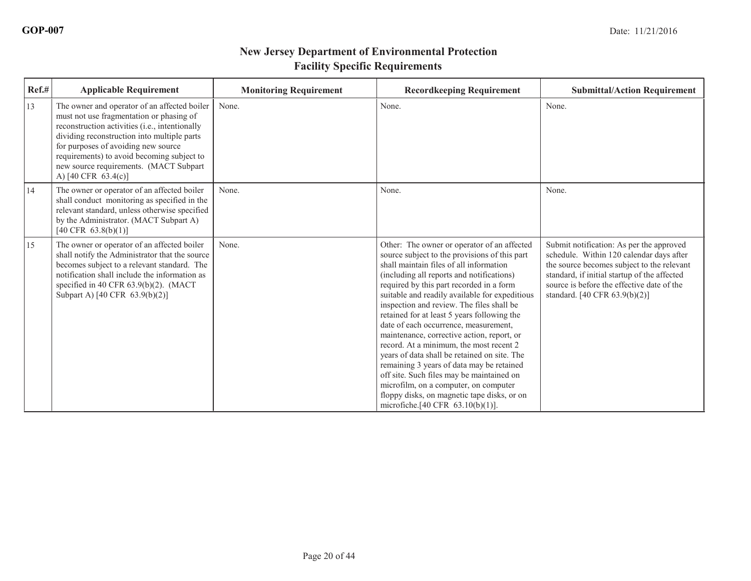| $Ref.$ # | <b>Applicable Requirement</b>                                                                                                                                                                                                                                                                                                                   | <b>Monitoring Requirement</b> | <b>Recordkeeping Requirement</b>                                                                                                                                                                                                                                                                                                                                                                                                                                                                                                                                                                                                                                                                                                                                                                   | <b>Submittal/Action Requirement</b>                                                                                                                                                                                                                               |
|----------|-------------------------------------------------------------------------------------------------------------------------------------------------------------------------------------------------------------------------------------------------------------------------------------------------------------------------------------------------|-------------------------------|----------------------------------------------------------------------------------------------------------------------------------------------------------------------------------------------------------------------------------------------------------------------------------------------------------------------------------------------------------------------------------------------------------------------------------------------------------------------------------------------------------------------------------------------------------------------------------------------------------------------------------------------------------------------------------------------------------------------------------------------------------------------------------------------------|-------------------------------------------------------------------------------------------------------------------------------------------------------------------------------------------------------------------------------------------------------------------|
| 13       | The owner and operator of an affected boiler<br>must not use fragmentation or phasing of<br>reconstruction activities (i.e., intentionally<br>dividing reconstruction into multiple parts<br>for purposes of avoiding new source<br>requirements) to avoid becoming subject to<br>new source requirements. (MACT Subpart<br>A) [40 CFR 63.4(c)] | None.                         | None.                                                                                                                                                                                                                                                                                                                                                                                                                                                                                                                                                                                                                                                                                                                                                                                              | None.                                                                                                                                                                                                                                                             |
| 14       | The owner or operator of an affected boiler<br>shall conduct monitoring as specified in the<br>relevant standard, unless otherwise specified<br>by the Administrator. (MACT Subpart A)<br>$[40 \text{ CFR } 63.8(b)(1)]$                                                                                                                        | None.                         | None.                                                                                                                                                                                                                                                                                                                                                                                                                                                                                                                                                                                                                                                                                                                                                                                              | None.                                                                                                                                                                                                                                                             |
| 15       | The owner or operator of an affected boiler<br>shall notify the Administrator that the source<br>becomes subject to a relevant standard. The<br>notification shall include the information as<br>specified in 40 CFR $63.9(b)(2)$ . (MACT<br>Subpart A) [40 CFR 63.9(b)(2)]                                                                     | None.                         | Other: The owner or operator of an affected<br>source subject to the provisions of this part<br>shall maintain files of all information<br>(including all reports and notifications)<br>required by this part recorded in a form<br>suitable and readily available for expeditious<br>inspection and review. The files shall be<br>retained for at least 5 years following the<br>date of each occurrence, measurement,<br>maintenance, corrective action, report, or<br>record. At a minimum, the most recent 2<br>years of data shall be retained on site. The<br>remaining 3 years of data may be retained<br>off site. Such files may be maintained on<br>microfilm, on a computer, on computer<br>floppy disks, on magnetic tape disks, or on<br>microfiche. $[40 \text{ CFR } 63.10(b)(1)].$ | Submit notification: As per the approved<br>schedule. Within 120 calendar days after<br>the source becomes subject to the relevant<br>standard, if initial startup of the affected<br>source is before the effective date of the<br>standard. [40 CFR 63.9(b)(2)] |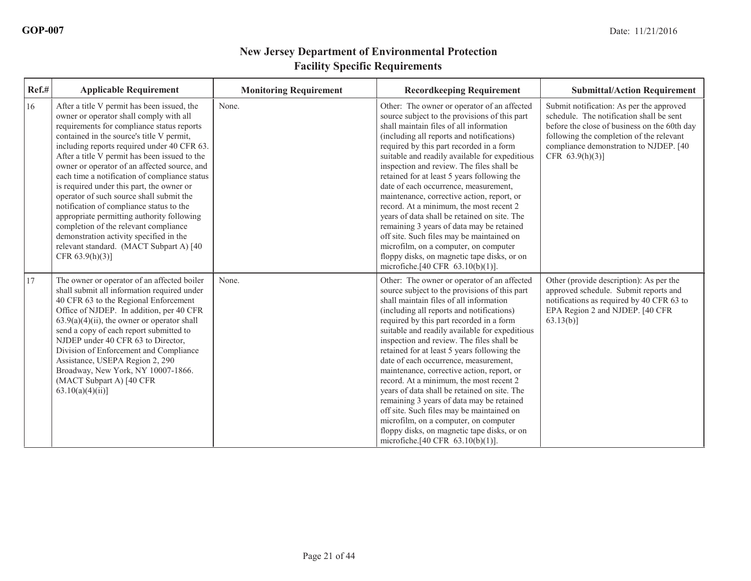| Ref.# | <b>Applicable Requirement</b>                                                                                                                                                                                                                                                                                                                                                                                                                                                                                                                                                                                                                                                                                               | <b>Monitoring Requirement</b> | <b>Recordkeeping Requirement</b>                                                                                                                                                                                                                                                                                                                                                                                                                                                                                                                                                                                                                                                                                                                                                          | <b>Submittal/Action Requirement</b>                                                                                                                                                                                                              |
|-------|-----------------------------------------------------------------------------------------------------------------------------------------------------------------------------------------------------------------------------------------------------------------------------------------------------------------------------------------------------------------------------------------------------------------------------------------------------------------------------------------------------------------------------------------------------------------------------------------------------------------------------------------------------------------------------------------------------------------------------|-------------------------------|-------------------------------------------------------------------------------------------------------------------------------------------------------------------------------------------------------------------------------------------------------------------------------------------------------------------------------------------------------------------------------------------------------------------------------------------------------------------------------------------------------------------------------------------------------------------------------------------------------------------------------------------------------------------------------------------------------------------------------------------------------------------------------------------|--------------------------------------------------------------------------------------------------------------------------------------------------------------------------------------------------------------------------------------------------|
| 16    | After a title V permit has been issued, the<br>owner or operator shall comply with all<br>requirements for compliance status reports<br>contained in the source's title V permit,<br>including reports required under 40 CFR 63.<br>After a title V permit has been issued to the<br>owner or operator of an affected source, and<br>each time a notification of compliance status<br>is required under this part, the owner or<br>operator of such source shall submit the<br>notification of compliance status to the<br>appropriate permitting authority following<br>completion of the relevant compliance<br>demonstration activity specified in the<br>relevant standard. (MACT Subpart A) [40]<br>CFR $63.9(h)(3)$ ] | None.                         | Other: The owner or operator of an affected<br>source subject to the provisions of this part<br>shall maintain files of all information<br>(including all reports and notifications)<br>required by this part recorded in a form<br>suitable and readily available for expeditious<br>inspection and review. The files shall be<br>retained for at least 5 years following the<br>date of each occurrence, measurement,<br>maintenance, corrective action, report, or<br>record. At a minimum, the most recent 2<br>vears of data shall be retained on site. The<br>remaining 3 years of data may be retained<br>off site. Such files may be maintained on<br>microfilm, on a computer, on computer<br>floppy disks, on magnetic tape disks, or on<br>microfiche.[40 CFR $63.10(b)(1)$ ]. | Submit notification: As per the approved<br>schedule. The notification shall be sent<br>before the close of business on the 60th day<br>following the completion of the relevant<br>compliance demonstration to NJDEP. [40<br>CFR $63.9(h)(3)$ ] |
| 17    | The owner or operator of an affected boiler<br>shall submit all information required under<br>40 CFR 63 to the Regional Enforcement<br>Office of NJDEP. In addition, per 40 CFR<br>$63.9(a)(4)(ii)$ , the owner or operator shall<br>send a copy of each report submitted to<br>NJDEP under 40 CFR 63 to Director,<br>Division of Enforcement and Compliance<br>Assistance, USEPA Region 2, 290<br>Broadway, New York, NY 10007-1866.<br>(MACT Subpart A) [40 CFR<br>$63.10(a)(4)(ii)$ ]                                                                                                                                                                                                                                    | None.                         | Other: The owner or operator of an affected<br>source subject to the provisions of this part<br>shall maintain files of all information<br>(including all reports and notifications)<br>required by this part recorded in a form<br>suitable and readily available for expeditious<br>inspection and review. The files shall be<br>retained for at least 5 years following the<br>date of each occurrence, measurement,<br>maintenance, corrective action, report, or<br>record. At a minimum, the most recent 2<br>years of data shall be retained on site. The<br>remaining 3 years of data may be retained<br>off site. Such files may be maintained on<br>microfilm, on a computer, on computer<br>floppy disks, on magnetic tape disks, or on<br>microfiche.[40 CFR $63.10(b)(1)$ ]. | Other (provide description): As per the<br>approved schedule. Submit reports and<br>notifications as required by 40 CFR 63 to<br>EPA Region 2 and NJDEP. [40 CFR<br>$63.13(b)$ ]                                                                 |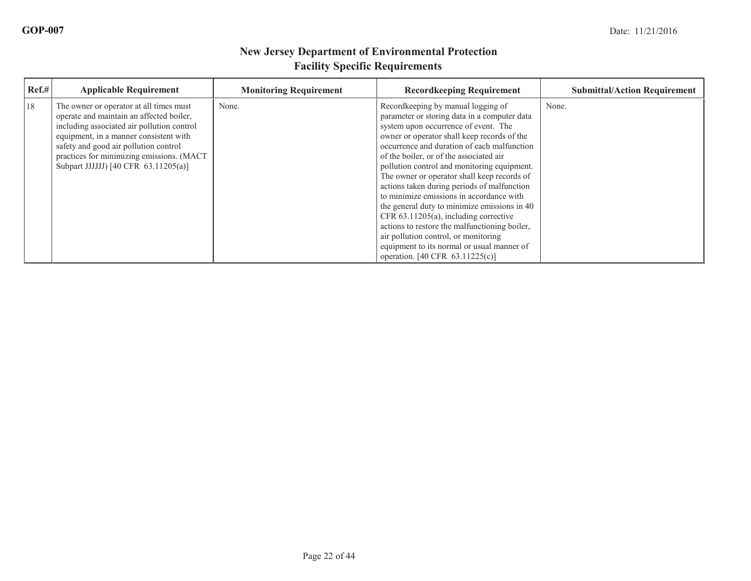| Ref.# | <b>Applicable Requirement</b>                                                                                                                                                                                                                                                                             | <b>Monitoring Requirement</b> | <b>Recordkeeping Requirement</b>                                                                                                                                                                                                                                                                                                                                                                                                                                                                                                                                                                                                                                                                                                | <b>Submittal/Action Requirement</b> |
|-------|-----------------------------------------------------------------------------------------------------------------------------------------------------------------------------------------------------------------------------------------------------------------------------------------------------------|-------------------------------|---------------------------------------------------------------------------------------------------------------------------------------------------------------------------------------------------------------------------------------------------------------------------------------------------------------------------------------------------------------------------------------------------------------------------------------------------------------------------------------------------------------------------------------------------------------------------------------------------------------------------------------------------------------------------------------------------------------------------------|-------------------------------------|
| 18    | The owner or operator at all times must<br>operate and maintain an affected boiler,<br>including associated air pollution control<br>equipment, in a manner consistent with<br>safety and good air pollution control<br>practices for minimizing emissions. (MACT<br>Subpart JJJJJJ) [40 CFR 63.11205(a)] | None.                         | Recordkeeping by manual logging of<br>parameter or storing data in a computer data<br>system upon occurrence of event. The<br>owner or operator shall keep records of the<br>occurrence and duration of each malfunction<br>of the boiler, or of the associated air<br>pollution control and monitoring equipment.<br>The owner or operator shall keep records of<br>actions taken during periods of malfunction<br>to minimize emissions in accordance with<br>the general duty to minimize emissions in 40<br>CFR 63.11205(a), including corrective<br>actions to restore the malfunctioning boiler,<br>air pollution control, or monitoring<br>equipment to its normal or usual manner of<br>operation. [40 CFR 63.11225(c)] | None.                               |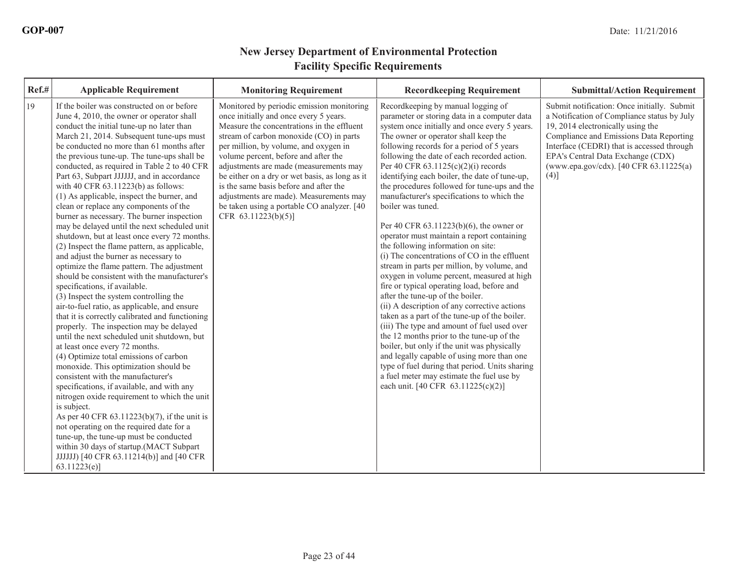| Ref.# | <b>Applicable Requirement</b>                                                                                                                                                                                                                                                                                                                                                                                                                                                                                                                                                                                                                                                                                                                                                                                                                                                                                                                                                                                                                                                                                                                                                                                                                                                                                                                                                                                                                                                                                                                                                                                                              | <b>Monitoring Requirement</b>                                                                                                                                                                                                                                                                                                                                                                                                                                                                                       | <b>Recordkeeping Requirement</b>                                                                                                                                                                                                                                                                                                                                                                                                                                                                                                                                                                                                                                                                                                                                                                                                                                                                                                                                                                                                                                                                                                                                                                                                                                                  | <b>Submittal/Action Requirement</b>                                                                                                                                                                                                                                                                             |
|-------|--------------------------------------------------------------------------------------------------------------------------------------------------------------------------------------------------------------------------------------------------------------------------------------------------------------------------------------------------------------------------------------------------------------------------------------------------------------------------------------------------------------------------------------------------------------------------------------------------------------------------------------------------------------------------------------------------------------------------------------------------------------------------------------------------------------------------------------------------------------------------------------------------------------------------------------------------------------------------------------------------------------------------------------------------------------------------------------------------------------------------------------------------------------------------------------------------------------------------------------------------------------------------------------------------------------------------------------------------------------------------------------------------------------------------------------------------------------------------------------------------------------------------------------------------------------------------------------------------------------------------------------------|---------------------------------------------------------------------------------------------------------------------------------------------------------------------------------------------------------------------------------------------------------------------------------------------------------------------------------------------------------------------------------------------------------------------------------------------------------------------------------------------------------------------|-----------------------------------------------------------------------------------------------------------------------------------------------------------------------------------------------------------------------------------------------------------------------------------------------------------------------------------------------------------------------------------------------------------------------------------------------------------------------------------------------------------------------------------------------------------------------------------------------------------------------------------------------------------------------------------------------------------------------------------------------------------------------------------------------------------------------------------------------------------------------------------------------------------------------------------------------------------------------------------------------------------------------------------------------------------------------------------------------------------------------------------------------------------------------------------------------------------------------------------------------------------------------------------|-----------------------------------------------------------------------------------------------------------------------------------------------------------------------------------------------------------------------------------------------------------------------------------------------------------------|
| 19    | If the boiler was constructed on or before<br>June 4, 2010, the owner or operator shall<br>conduct the initial tune-up no later than<br>March 21, 2014. Subsequent tune-ups must<br>be conducted no more than 61 months after<br>the previous tune-up. The tune-ups shall be<br>conducted, as required in Table 2 to 40 CFR<br>Part 63, Subpart JJJJJJ, and in accordance<br>with 40 CFR 63.11223(b) as follows:<br>(1) As applicable, inspect the burner, and<br>clean or replace any components of the<br>burner as necessary. The burner inspection<br>may be delayed until the next scheduled unit<br>shutdown, but at least once every 72 months.<br>(2) Inspect the flame pattern, as applicable,<br>and adjust the burner as necessary to<br>optimize the flame pattern. The adjustment<br>should be consistent with the manufacturer's<br>specifications, if available.<br>(3) Inspect the system controlling the<br>air-to-fuel ratio, as applicable, and ensure<br>that it is correctly calibrated and functioning<br>properly. The inspection may be delayed<br>until the next scheduled unit shutdown, but<br>at least once every 72 months.<br>(4) Optimize total emissions of carbon<br>monoxide. This optimization should be<br>consistent with the manufacturer's<br>specifications, if available, and with any<br>nitrogen oxide requirement to which the unit<br>is subject.<br>As per 40 CFR 63.11223(b)(7), if the unit is<br>not operating on the required date for a<br>tune-up, the tune-up must be conducted<br>within 30 days of startup.(MACT Subpart<br>JJJJJJ) [40 CFR 63.11214(b)] and [40 CFR<br>63.11223(e) | Monitored by periodic emission monitoring<br>once initially and once every 5 years.<br>Measure the concentrations in the effluent<br>stream of carbon monoxide (CO) in parts<br>per million, by volume, and oxygen in<br>volume percent, before and after the<br>adjustments are made (measurements may<br>be either on a dry or wet basis, as long as it<br>is the same basis before and after the<br>adjustments are made). Measurements may<br>be taken using a portable CO analyzer. [40<br>CFR 63.11223(b)(5)] | Recordkeeping by manual logging of<br>parameter or storing data in a computer data<br>system once initially and once every 5 years.<br>The owner or operator shall keep the<br>following records for a period of 5 years<br>following the date of each recorded action.<br>Per 40 CFR $63.1125(c)(2)(i)$ records<br>identifying each boiler, the date of tune-up,<br>the procedures followed for tune-ups and the<br>manufacturer's specifications to which the<br>boiler was tuned.<br>Per 40 CFR 63.11223(b)(6), the owner or<br>operator must maintain a report containing<br>the following information on site:<br>(i) The concentrations of CO in the effluent<br>stream in parts per million, by volume, and<br>oxygen in volume percent, measured at high<br>fire or typical operating load, before and<br>after the tune-up of the boiler.<br>(ii) A description of any corrective actions<br>taken as a part of the tune-up of the boiler.<br>(iii) The type and amount of fuel used over<br>the 12 months prior to the tune-up of the<br>boiler, but only if the unit was physically<br>and legally capable of using more than one<br>type of fuel during that period. Units sharing<br>a fuel meter may estimate the fuel use by<br>each unit. [40 CFR 63.11225(c)(2)] | Submit notification: Once initially. Submit<br>a Notification of Compliance status by July<br>19, 2014 electronically using the<br>Compliance and Emissions Data Reporting<br>Interface (CEDRI) that is accessed through<br>EPA's Central Data Exchange (CDX)<br>(www.epa.gov/cdx). [40 CFR 63.11225(a)<br>(4)] |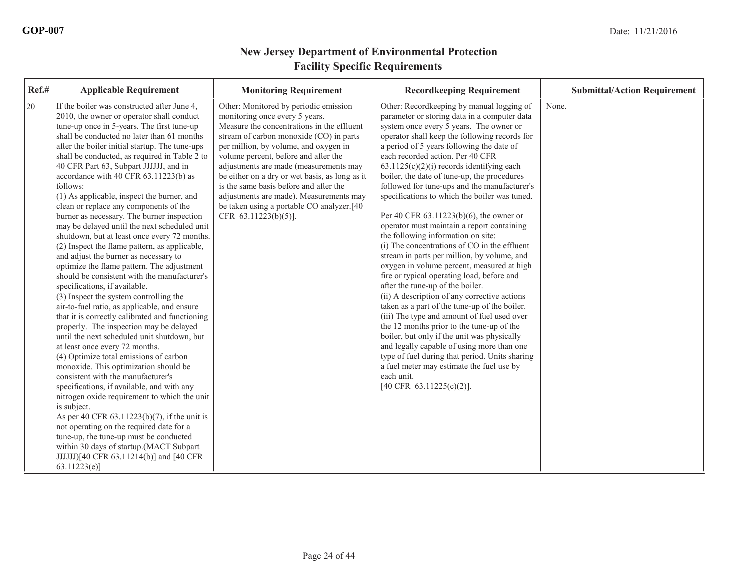| Ref.# | <b>Applicable Requirement</b>                                                                                                                                                                                                                                                                                                                                                                                                                                                                                                                                                                                                                                                                                                                                                                                                                                                                                                                                                                                                                                                                                                                                                                                                                                                                                                                                                                                                                                                                                                                                                                                   | <b>Monitoring Requirement</b>                                                                                                                                                                                                                                                                                                                                                                                                                                                                            | <b>Recordkeeping Requirement</b>                                                                                                                                                                                                                                                                                                                                                                                                                                                                                                                                                                                                                                                                                                                                                                                                                                                                                                                                                                                                                                                                                                                                                                                                                                       | <b>Submittal/Action Requirement</b> |
|-------|-----------------------------------------------------------------------------------------------------------------------------------------------------------------------------------------------------------------------------------------------------------------------------------------------------------------------------------------------------------------------------------------------------------------------------------------------------------------------------------------------------------------------------------------------------------------------------------------------------------------------------------------------------------------------------------------------------------------------------------------------------------------------------------------------------------------------------------------------------------------------------------------------------------------------------------------------------------------------------------------------------------------------------------------------------------------------------------------------------------------------------------------------------------------------------------------------------------------------------------------------------------------------------------------------------------------------------------------------------------------------------------------------------------------------------------------------------------------------------------------------------------------------------------------------------------------------------------------------------------------|----------------------------------------------------------------------------------------------------------------------------------------------------------------------------------------------------------------------------------------------------------------------------------------------------------------------------------------------------------------------------------------------------------------------------------------------------------------------------------------------------------|------------------------------------------------------------------------------------------------------------------------------------------------------------------------------------------------------------------------------------------------------------------------------------------------------------------------------------------------------------------------------------------------------------------------------------------------------------------------------------------------------------------------------------------------------------------------------------------------------------------------------------------------------------------------------------------------------------------------------------------------------------------------------------------------------------------------------------------------------------------------------------------------------------------------------------------------------------------------------------------------------------------------------------------------------------------------------------------------------------------------------------------------------------------------------------------------------------------------------------------------------------------------|-------------------------------------|
| 20    | If the boiler was constructed after June 4,<br>2010, the owner or operator shall conduct<br>tune-up once in 5-years. The first tune-up<br>shall be conducted no later than 61 months<br>after the boiler initial startup. The tune-ups<br>shall be conducted, as required in Table 2 to<br>40 CFR Part 63, Subpart JJJJJJ, and in<br>accordance with 40 CFR 63.11223(b) as<br>follows:<br>(1) As applicable, inspect the burner, and<br>clean or replace any components of the<br>burner as necessary. The burner inspection<br>may be delayed until the next scheduled unit<br>shutdown, but at least once every 72 months.<br>(2) Inspect the flame pattern, as applicable,<br>and adjust the burner as necessary to<br>optimize the flame pattern. The adjustment<br>should be consistent with the manufacturer's<br>specifications, if available.<br>(3) Inspect the system controlling the<br>air-to-fuel ratio, as applicable, and ensure<br>that it is correctly calibrated and functioning<br>properly. The inspection may be delayed<br>until the next scheduled unit shutdown, but<br>at least once every 72 months.<br>(4) Optimize total emissions of carbon<br>monoxide. This optimization should be<br>consistent with the manufacturer's<br>specifications, if available, and with any<br>nitrogen oxide requirement to which the unit<br>is subject.<br>As per 40 CFR 63.11223(b)(7), if the unit is<br>not operating on the required date for a<br>tune-up, the tune-up must be conducted<br>within 30 days of startup.(MACT Subpart<br>JJJJJJJ[40 CFR 63.11214(b)] and [40 CFR<br>63.11223(e) | Other: Monitored by periodic emission<br>monitoring once every 5 years.<br>Measure the concentrations in the effluent<br>stream of carbon monoxide (CO) in parts<br>per million, by volume, and oxygen in<br>volume percent, before and after the<br>adjustments are made (measurements may<br>be either on a dry or wet basis, as long as it<br>is the same basis before and after the<br>adjustments are made). Measurements may<br>be taken using a portable CO analyzer.[40]<br>CFR 63.11223(b)(5)]. | Other: Recordkeeping by manual logging of<br>parameter or storing data in a computer data<br>system once every 5 years. The owner or<br>operator shall keep the following records for<br>a period of 5 years following the date of<br>each recorded action. Per 40 CFR<br>$63.1125(c)(2)(i)$ records identifying each<br>boiler, the date of tune-up, the procedures<br>followed for tune-ups and the manufacturer's<br>specifications to which the boiler was tuned.<br>Per 40 CFR 63.11223(b)(6), the owner or<br>operator must maintain a report containing<br>the following information on site:<br>(i) The concentrations of CO in the effluent<br>stream in parts per million, by volume, and<br>oxygen in volume percent, measured at high<br>fire or typical operating load, before and<br>after the tune-up of the boiler.<br>(ii) A description of any corrective actions<br>taken as a part of the tune-up of the boiler.<br>(iii) The type and amount of fuel used over<br>the 12 months prior to the tune-up of the<br>boiler, but only if the unit was physically<br>and legally capable of using more than one<br>type of fuel during that period. Units sharing<br>a fuel meter may estimate the fuel use by<br>each unit.<br>[40 CFR 63.11225(c)(2)]. | None.                               |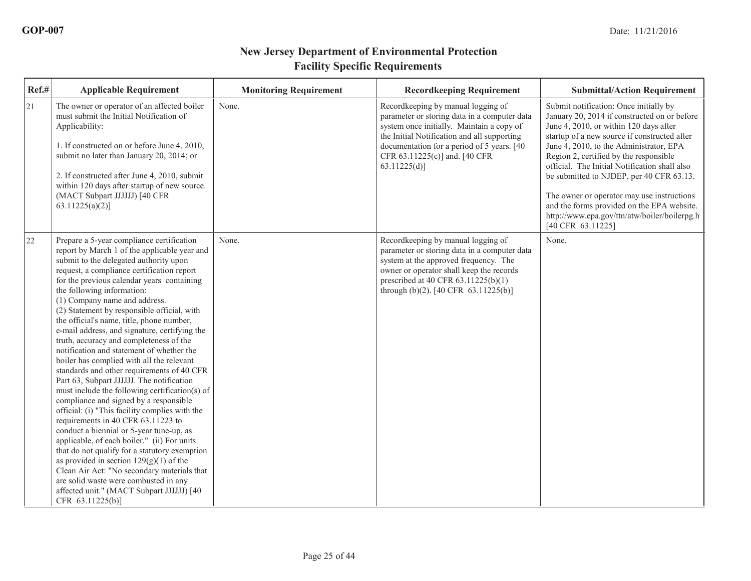| Ref.# | <b>Applicable Requirement</b>                                                                                                                                                                                                                                                                                                                                                                                                                                                                                                                                                                                                                                                                                                                                                                                                                                                                                                                                                                                                                                                                                                                                                                                     | <b>Monitoring Requirement</b> | <b>Recordkeeping Requirement</b>                                                                                                                                                                                                                                              | <b>Submittal/Action Requirement</b>                                                                                                                                                                                                                                                                                                                                                                                                                                                                                                 |
|-------|-------------------------------------------------------------------------------------------------------------------------------------------------------------------------------------------------------------------------------------------------------------------------------------------------------------------------------------------------------------------------------------------------------------------------------------------------------------------------------------------------------------------------------------------------------------------------------------------------------------------------------------------------------------------------------------------------------------------------------------------------------------------------------------------------------------------------------------------------------------------------------------------------------------------------------------------------------------------------------------------------------------------------------------------------------------------------------------------------------------------------------------------------------------------------------------------------------------------|-------------------------------|-------------------------------------------------------------------------------------------------------------------------------------------------------------------------------------------------------------------------------------------------------------------------------|-------------------------------------------------------------------------------------------------------------------------------------------------------------------------------------------------------------------------------------------------------------------------------------------------------------------------------------------------------------------------------------------------------------------------------------------------------------------------------------------------------------------------------------|
| 21    | The owner or operator of an affected boiler<br>must submit the Initial Notification of<br>Applicability:<br>1. If constructed on or before June 4, 2010,<br>submit no later than January 20, 2014; or<br>2. If constructed after June 4, 2010, submit<br>within 120 days after startup of new source.<br>(MACT Subpart JJJJJJ) [40 CFR<br>$63.11225(a)(2)$ ]                                                                                                                                                                                                                                                                                                                                                                                                                                                                                                                                                                                                                                                                                                                                                                                                                                                      | None.                         | Recordkeeping by manual logging of<br>parameter or storing data in a computer data<br>system once initially. Maintain a copy of<br>the Initial Notification and all supporting<br>documentation for a period of 5 years. [40]<br>CFR 63.11225(c)] and. [40 CFR<br>63.11225(d) | Submit notification: Once initially by<br>January 20, 2014 if constructed on or before<br>June 4, 2010, or within 120 days after<br>startup of a new source if constructed after<br>June 4, 2010, to the Administrator, EPA<br>Region 2, certified by the responsible<br>official. The Initial Notification shall also<br>be submitted to NJDEP, per 40 CFR 63.13.<br>The owner or operator may use instructions<br>and the forms provided on the EPA website.<br>http://www.epa.gov/ttn/atw/boiler/boilerpg.h<br>[40 CFR 63.11225] |
| 22    | Prepare a 5-year compliance certification<br>report by March 1 of the applicable year and<br>submit to the delegated authority upon<br>request, a compliance certification report<br>for the previous calendar years containing<br>the following information:<br>(1) Company name and address.<br>(2) Statement by responsible official, with<br>the official's name, title, phone number,<br>e-mail address, and signature, certifying the<br>truth, accuracy and completeness of the<br>notification and statement of whether the<br>boiler has complied with all the relevant<br>standards and other requirements of 40 CFR<br>Part 63, Subpart JJJJJJ. The notification<br>must include the following certification(s) of<br>compliance and signed by a responsible<br>official: (i) "This facility complies with the<br>requirements in 40 CFR 63.11223 to<br>conduct a biennial or 5-year tune-up, as<br>applicable, of each boiler." (ii) For units<br>that do not qualify for a statutory exemption<br>as provided in section $129(g)(1)$ of the<br>Clean Air Act: "No secondary materials that<br>are solid waste were combusted in any<br>affected unit." (MACT Subpart JJJJJJ) [40<br>CFR 63.11225(b)] | None.                         | Recordkeeping by manual logging of<br>parameter or storing data in a computer data<br>system at the approved frequency. The<br>owner or operator shall keep the records<br>prescribed at 40 CFR $63.11225(b)(1)$<br>through (b)(2). [40 CFR $63.11225(b)$ ]                   | None.                                                                                                                                                                                                                                                                                                                                                                                                                                                                                                                               |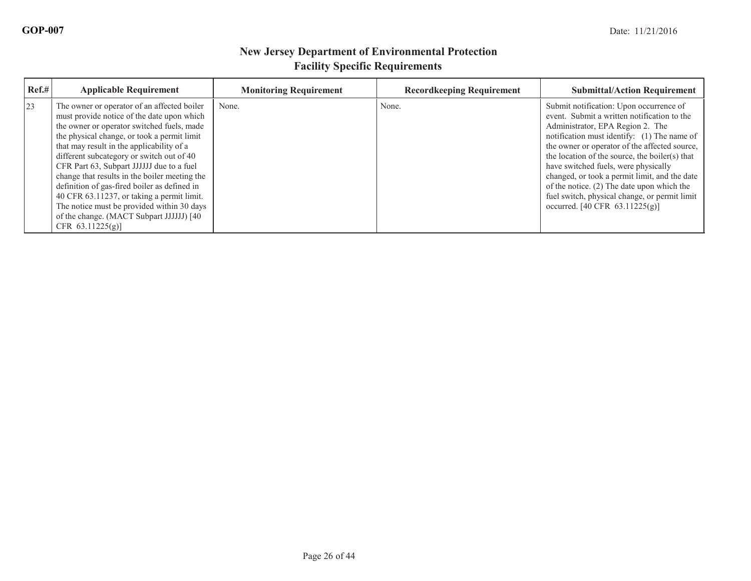| Ref.# | <b>Applicable Requirement</b>                                                                                                                                                                                                                                                                                                                                                                                                                                                                                                                                                                  | <b>Monitoring Requirement</b> | <b>Recordkeeping Requirement</b> | <b>Submittal/Action Requirement</b>                                                                                                                                                                                                                                                                                                                                                                                                                                                                               |
|-------|------------------------------------------------------------------------------------------------------------------------------------------------------------------------------------------------------------------------------------------------------------------------------------------------------------------------------------------------------------------------------------------------------------------------------------------------------------------------------------------------------------------------------------------------------------------------------------------------|-------------------------------|----------------------------------|-------------------------------------------------------------------------------------------------------------------------------------------------------------------------------------------------------------------------------------------------------------------------------------------------------------------------------------------------------------------------------------------------------------------------------------------------------------------------------------------------------------------|
| 23    | The owner or operator of an affected boiler<br>must provide notice of the date upon which<br>the owner or operator switched fuels, made<br>the physical change, or took a permit limit<br>that may result in the applicability of a<br>different subcategory or switch out of 40<br>CFR Part 63, Subpart JJJJJJ due to a fuel<br>change that results in the boiler meeting the<br>definition of gas-fired boiler as defined in<br>40 CFR 63.11237, or taking a permit limit.<br>The notice must be provided within 30 days<br>of the change. (MACT Subpart JJJJJJ) [40]<br>CFR $63.11225(g)$ ] | None.                         | None.                            | Submit notification: Upon occurrence of<br>event. Submit a written notification to the<br>Administrator, EPA Region 2. The<br>notification must identify: (1) The name of<br>the owner or operator of the affected source,<br>the location of the source, the boiler(s) that<br>have switched fuels, were physically<br>changed, or took a permit limit, and the date<br>of the notice. (2) The date upon which the<br>fuel switch, physical change, or permit limit<br>occurred. $[40 \text{ CFR } 63.11225(g)]$ |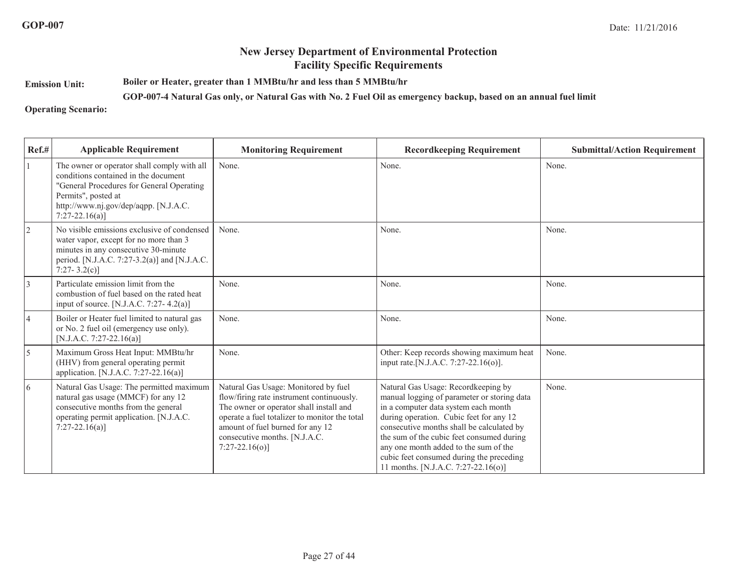**Emission Unit:Boiler or Heater, greater than 1 MMBtu/hr and less than 5 MMBtu/hr**

**GOP-007-4 Natural Gas only, or Natural Gas with No. 2 Fuel Oil as emergency backup, based on an annual fuel limit**

**Operating Scenario:**

| Ref.#          | <b>Applicable Requirement</b>                                                                                                                                                                                       | <b>Monitoring Requirement</b>                                                                                                                                                                                                                                           | <b>Recordkeeping Requirement</b>                                                                                                                                                                                                                                                                                                                                                            | <b>Submittal/Action Requirement</b> |
|----------------|---------------------------------------------------------------------------------------------------------------------------------------------------------------------------------------------------------------------|-------------------------------------------------------------------------------------------------------------------------------------------------------------------------------------------------------------------------------------------------------------------------|---------------------------------------------------------------------------------------------------------------------------------------------------------------------------------------------------------------------------------------------------------------------------------------------------------------------------------------------------------------------------------------------|-------------------------------------|
|                | The owner or operator shall comply with all<br>conditions contained in the document<br>"General Procedures for General Operating<br>Permits", posted at<br>http://www.nj.gov/dep/aqpp. [N.J.A.C.<br>$7:27-22.16(a)$ | None.                                                                                                                                                                                                                                                                   | None.                                                                                                                                                                                                                                                                                                                                                                                       | None.                               |
| 2              | No visible emissions exclusive of condensed<br>water vapor, except for no more than 3<br>minutes in any consecutive 30-minute<br>period. [N.J.A.C. 7:27-3.2(a)] and [N.J.A.C.<br>7:27-3.2(c)]                       | None.                                                                                                                                                                                                                                                                   | None.                                                                                                                                                                                                                                                                                                                                                                                       | None.                               |
| 3              | Particulate emission limit from the<br>combustion of fuel based on the rated heat<br>input of source. [N.J.A.C. 7:27-4.2(a)]                                                                                        | None.                                                                                                                                                                                                                                                                   | None.                                                                                                                                                                                                                                                                                                                                                                                       | None.                               |
| $\overline{4}$ | Boiler or Heater fuel limited to natural gas<br>or No. 2 fuel oil (emergency use only).<br>[N.J.A.C. 7:27-22.16(a)]                                                                                                 | None.                                                                                                                                                                                                                                                                   | None.                                                                                                                                                                                                                                                                                                                                                                                       | None.                               |
| 5              | Maximum Gross Heat Input: MMBtu/hr<br>(HHV) from general operating permit<br>application. [N.J.A.C. 7:27-22.16(a)]                                                                                                  | None.                                                                                                                                                                                                                                                                   | Other: Keep records showing maximum heat<br>input rate. [N.J.A.C. 7:27-22.16(o)].                                                                                                                                                                                                                                                                                                           | None.                               |
| $\overline{6}$ | Natural Gas Usage: The permitted maximum<br>natural gas usage (MMCF) for any 12<br>consecutive months from the general<br>operating permit application. [N.J.A.C.<br>$7:27-22.16(a)$ ]                              | Natural Gas Usage: Monitored by fuel<br>flow/firing rate instrument continuously.<br>The owner or operator shall install and<br>operate a fuel totalizer to monitor the total<br>amount of fuel burned for any 12<br>consecutive months. [N.J.A.C.<br>$7:27-22.16(o)$ ] | Natural Gas Usage: Recordkeeping by<br>manual logging of parameter or storing data<br>in a computer data system each month<br>during operation. Cubic feet for any 12<br>consecutive months shall be calculated by<br>the sum of the cubic feet consumed during<br>any one month added to the sum of the<br>cubic feet consumed during the preceding<br>11 months. [N.J.A.C. 7:27-22.16(o)] | None.                               |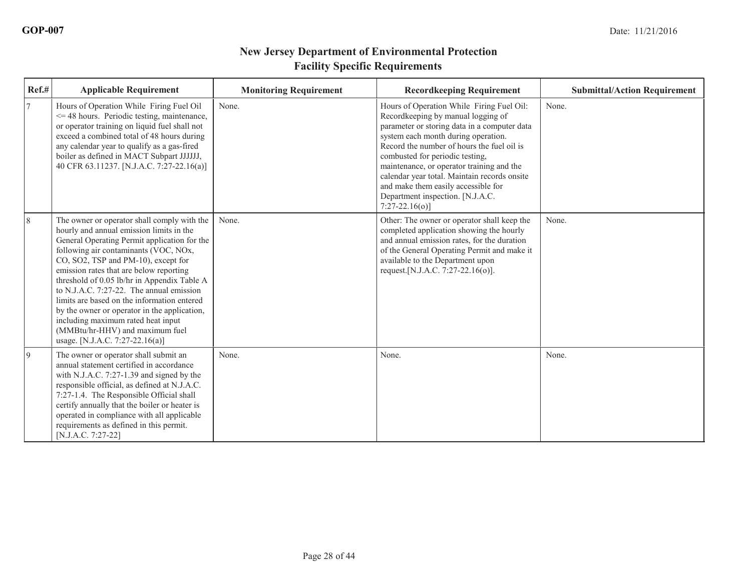| Ref.#     | <b>Applicable Requirement</b>                                                                                                                                                                                                                                                                                                                                                                                                                                                                                                                                               | <b>Monitoring Requirement</b> | <b>Recordkeeping Requirement</b>                                                                                                                                                                                                                                                                                                                                                                                                                   | <b>Submittal/Action Requirement</b> |
|-----------|-----------------------------------------------------------------------------------------------------------------------------------------------------------------------------------------------------------------------------------------------------------------------------------------------------------------------------------------------------------------------------------------------------------------------------------------------------------------------------------------------------------------------------------------------------------------------------|-------------------------------|----------------------------------------------------------------------------------------------------------------------------------------------------------------------------------------------------------------------------------------------------------------------------------------------------------------------------------------------------------------------------------------------------------------------------------------------------|-------------------------------------|
| 17        | Hours of Operation While Firing Fuel Oil<br>$\leq$ 48 hours. Periodic testing, maintenance,<br>or operator training on liquid fuel shall not<br>exceed a combined total of 48 hours during<br>any calendar year to qualify as a gas-fired<br>boiler as defined in MACT Subpart JJJJJJ,<br>40 CFR 63.11237. [N.J.A.C. 7:27-22.16(a)]                                                                                                                                                                                                                                         | None.                         | Hours of Operation While Firing Fuel Oil:<br>Recordkeeping by manual logging of<br>parameter or storing data in a computer data<br>system each month during operation.<br>Record the number of hours the fuel oil is<br>combusted for periodic testing,<br>maintenance, or operator training and the<br>calendar year total. Maintain records onsite<br>and make them easily accessible for<br>Department inspection. [N.J.A.C.<br>$7:27-22.16(0)$ | None.                               |
| 8         | The owner or operator shall comply with the<br>hourly and annual emission limits in the<br>General Operating Permit application for the<br>following air contaminants (VOC, NOx,<br>CO, SO2, TSP and PM-10), except for<br>emission rates that are below reporting<br>threshold of 0.05 lb/hr in Appendix Table A<br>to N.J.A.C. $7:27-22$ . The annual emission<br>limits are based on the information entered<br>by the owner or operator in the application,<br>including maximum rated heat input<br>(MMBtu/hr-HHV) and maximum fuel<br>usage. [N.J.A.C. 7:27-22.16(a)] | None.                         | Other: The owner or operator shall keep the<br>completed application showing the hourly<br>and annual emission rates, for the duration<br>of the General Operating Permit and make it<br>available to the Department upon<br>request.[N.J.A.C. 7:27-22.16(o)].                                                                                                                                                                                     | None.                               |
| $\vert$ 9 | The owner or operator shall submit an<br>annual statement certified in accordance<br>with N.J.A.C. 7:27-1.39 and signed by the<br>responsible official, as defined at N.J.A.C.<br>7:27-1.4. The Responsible Official shall<br>certify annually that the boiler or heater is<br>operated in compliance with all applicable<br>requirements as defined in this permit.<br>[N.J.A.C. 7:27-22]                                                                                                                                                                                  | None.                         | None.                                                                                                                                                                                                                                                                                                                                                                                                                                              | None.                               |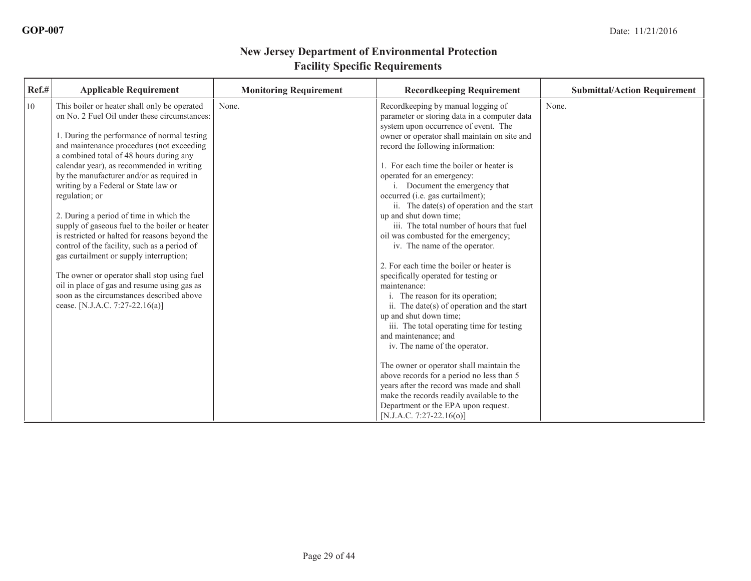| Ref.# | <b>Applicable Requirement</b>                                                                                                                                                                                                                                                                                                                                                                                                                                                                                                                                                                                                                                                                                                                                                                                   | <b>Monitoring Requirement</b> | <b>Recordkeeping Requirement</b>                                                                                                                                                                                                                                                                                                                                                                                                                                                                                                                                                                                                                                                                                                                                                                                                                                                                                                                                                                                         | <b>Submittal/Action Requirement</b> |
|-------|-----------------------------------------------------------------------------------------------------------------------------------------------------------------------------------------------------------------------------------------------------------------------------------------------------------------------------------------------------------------------------------------------------------------------------------------------------------------------------------------------------------------------------------------------------------------------------------------------------------------------------------------------------------------------------------------------------------------------------------------------------------------------------------------------------------------|-------------------------------|--------------------------------------------------------------------------------------------------------------------------------------------------------------------------------------------------------------------------------------------------------------------------------------------------------------------------------------------------------------------------------------------------------------------------------------------------------------------------------------------------------------------------------------------------------------------------------------------------------------------------------------------------------------------------------------------------------------------------------------------------------------------------------------------------------------------------------------------------------------------------------------------------------------------------------------------------------------------------------------------------------------------------|-------------------------------------|
| 10    | This boiler or heater shall only be operated<br>on No. 2 Fuel Oil under these circumstances:<br>1. During the performance of normal testing<br>and maintenance procedures (not exceeding<br>a combined total of 48 hours during any<br>calendar year), as recommended in writing<br>by the manufacturer and/or as required in<br>writing by a Federal or State law or<br>regulation; or<br>2. During a period of time in which the<br>supply of gaseous fuel to the boiler or heater<br>is restricted or halted for reasons beyond the<br>control of the facility, such as a period of<br>gas curtailment or supply interruption;<br>The owner or operator shall stop using fuel<br>oil in place of gas and resume using gas as<br>soon as the circumstances described above<br>cease. [N.J.A.C. 7:27-22.16(a)] | None.                         | Recordkeeping by manual logging of<br>parameter or storing data in a computer data<br>system upon occurrence of event. The<br>owner or operator shall maintain on site and<br>record the following information:<br>1. For each time the boiler or heater is<br>operated for an emergency:<br>i. Document the emergency that<br>occurred (i.e. gas curtailment);<br>ii. The date(s) of operation and the start<br>up and shut down time;<br>iii. The total number of hours that fuel<br>oil was combusted for the emergency;<br>iv. The name of the operator.<br>2. For each time the boiler or heater is<br>specifically operated for testing or<br>maintenance:<br>i. The reason for its operation;<br>ii. The date(s) of operation and the start<br>up and shut down time;<br>iii. The total operating time for testing<br>and maintenance; and<br>iv. The name of the operator.<br>The owner or operator shall maintain the<br>above records for a period no less than 5<br>years after the record was made and shall | None.                               |
|       |                                                                                                                                                                                                                                                                                                                                                                                                                                                                                                                                                                                                                                                                                                                                                                                                                 |                               | make the records readily available to the<br>Department or the EPA upon request.<br>$[N.J.A.C. 7:27-22.16(o)]$                                                                                                                                                                                                                                                                                                                                                                                                                                                                                                                                                                                                                                                                                                                                                                                                                                                                                                           |                                     |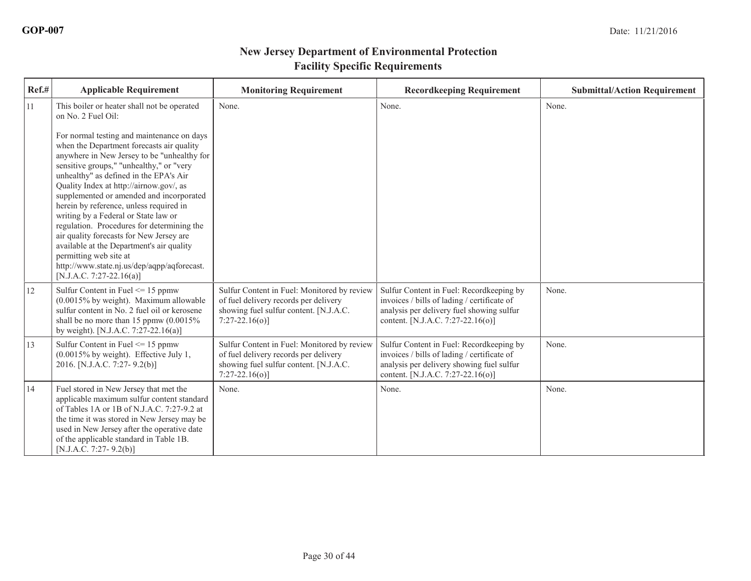| Ref.# | <b>Applicable Requirement</b>                                                                                                                                                                                                                                                                                                                                                                                                                                                                                                                                                                                                                                                                                           | <b>Monitoring Requirement</b>                                                                                                                     | <b>Recordkeeping Requirement</b>                                                                                                                                          | <b>Submittal/Action Requirement</b> |
|-------|-------------------------------------------------------------------------------------------------------------------------------------------------------------------------------------------------------------------------------------------------------------------------------------------------------------------------------------------------------------------------------------------------------------------------------------------------------------------------------------------------------------------------------------------------------------------------------------------------------------------------------------------------------------------------------------------------------------------------|---------------------------------------------------------------------------------------------------------------------------------------------------|---------------------------------------------------------------------------------------------------------------------------------------------------------------------------|-------------------------------------|
| 11    | This boiler or heater shall not be operated<br>on No. 2 Fuel Oil:<br>For normal testing and maintenance on days<br>when the Department forecasts air quality<br>anywhere in New Jersey to be "unhealthy for<br>sensitive groups," "unhealthy," or "very<br>unhealthy" as defined in the EPA's Air<br>Quality Index at http://airnow.gov/, as<br>supplemented or amended and incorporated<br>herein by reference, unless required in<br>writing by a Federal or State law or<br>regulation. Procedures for determining the<br>air quality forecasts for New Jersey are<br>available at the Department's air quality<br>permitting web site at<br>http://www.state.nj.us/dep/aqpp/aqforecast.<br>[N.J.A.C. 7:27-22.16(a)] | None.                                                                                                                                             | None.                                                                                                                                                                     | None.                               |
| 12    | Sulfur Content in Fuel $\leq$ 15 ppmw<br>$(0.0015\%$ by weight). Maximum allowable<br>sulfur content in No. 2 fuel oil or kerosene<br>shall be no more than 15 ppmw $(0.0015\%$<br>by weight). [N.J.A.C. 7:27-22.16(a)]                                                                                                                                                                                                                                                                                                                                                                                                                                                                                                 | Sulfur Content in Fuel: Monitored by review<br>of fuel delivery records per delivery<br>showing fuel sulfur content. [N.J.A.C.<br>$7:27-22.16(0)$ | Sulfur Content in Fuel: Recordkeeping by<br>invoices / bills of lading / certificate of<br>analysis per delivery fuel showing sulfur<br>content. [N.J.A.C. 7:27-22.16(o)] | None.                               |
| 13    | Sulfur Content in Fuel $\leq$ 15 ppmw<br>(0.0015% by weight). Effective July 1,<br>2016. [N.J.A.C. 7:27-9.2(b)]                                                                                                                                                                                                                                                                                                                                                                                                                                                                                                                                                                                                         | Sulfur Content in Fuel: Monitored by review<br>of fuel delivery records per delivery<br>showing fuel sulfur content. [N.J.A.C.<br>$7:27-22.16(0)$ | Sulfur Content in Fuel: Recordkeeping by<br>invoices / bills of lading / certificate of<br>analysis per delivery showing fuel sulfur<br>content. [N.J.A.C. 7:27-22.16(o)] | None.                               |
| 14    | Fuel stored in New Jersey that met the<br>applicable maximum sulfur content standard<br>of Tables 1A or 1B of N.J.A.C. 7:27-9.2 at<br>the time it was stored in New Jersey may be<br>used in New Jersey after the operative date<br>of the applicable standard in Table 1B.<br>$[N.J.A.C. 7:27-9.2(b)]$                                                                                                                                                                                                                                                                                                                                                                                                                 | None.                                                                                                                                             | None.                                                                                                                                                                     | None.                               |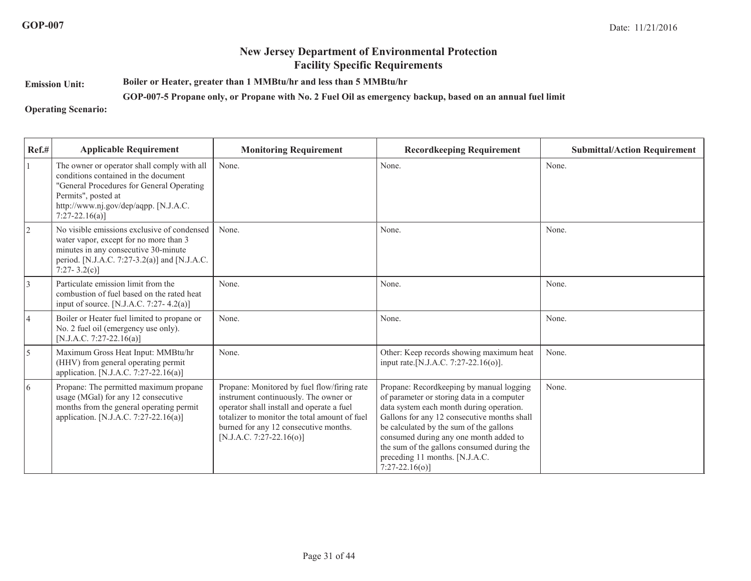**Emission Unit:Boiler or Heater, greater than 1 MMBtu/hr and less than 5 MMBtu/hr**

**GOP-007-5 Propane only, or Propane with No. 2 Fuel Oil as emergency backup, based on an annual fuel limit**

**Operating Scenario:**

| Ref.#          | <b>Applicable Requirement</b>                                                                                                                                                                                       | <b>Monitoring Requirement</b>                                                                                                                                                                                                                             | <b>Recordkeeping Requirement</b>                                                                                                                                                                                                                                                                                                                                          | <b>Submittal/Action Requirement</b> |
|----------------|---------------------------------------------------------------------------------------------------------------------------------------------------------------------------------------------------------------------|-----------------------------------------------------------------------------------------------------------------------------------------------------------------------------------------------------------------------------------------------------------|---------------------------------------------------------------------------------------------------------------------------------------------------------------------------------------------------------------------------------------------------------------------------------------------------------------------------------------------------------------------------|-------------------------------------|
|                | The owner or operator shall comply with all<br>conditions contained in the document<br>"General Procedures for General Operating<br>Permits", posted at<br>http://www.nj.gov/dep/aqpp. [N.J.A.C.<br>$7:27-22.16(a)$ | None.                                                                                                                                                                                                                                                     | None.                                                                                                                                                                                                                                                                                                                                                                     | None.                               |
| 2              | No visible emissions exclusive of condensed<br>water vapor, except for no more than 3<br>minutes in any consecutive 30-minute<br>period. [N.J.A.C. 7:27-3.2(a)] and [N.J.A.C.<br>7:27-3.2(c)]                       | None.                                                                                                                                                                                                                                                     | None.                                                                                                                                                                                                                                                                                                                                                                     | None.                               |
| 3              | Particulate emission limit from the<br>combustion of fuel based on the rated heat<br>input of source. [N.J.A.C. 7:27-4.2(a)]                                                                                        | None.                                                                                                                                                                                                                                                     | None.                                                                                                                                                                                                                                                                                                                                                                     | None.                               |
| $\overline{4}$ | Boiler or Heater fuel limited to propane or<br>No. 2 fuel oil (emergency use only).<br>[N.J.A.C. 7:27-22.16(a)]                                                                                                     | None.                                                                                                                                                                                                                                                     | None.                                                                                                                                                                                                                                                                                                                                                                     | None.                               |
| 5              | Maximum Gross Heat Input: MMBtu/hr<br>(HHV) from general operating permit<br>application. [N.J.A.C. 7:27-22.16(a)]                                                                                                  | None.                                                                                                                                                                                                                                                     | Other: Keep records showing maximum heat<br>input rate. [N.J.A.C. 7:27-22.16(o)].                                                                                                                                                                                                                                                                                         | None.                               |
| 6              | Propane: The permitted maximum propane<br>usage (MGal) for any 12 consecutive<br>months from the general operating permit<br>application. [N.J.A.C. 7:27-22.16(a)]                                                  | Propane: Monitored by fuel flow/firing rate<br>instrument continuously. The owner or<br>operator shall install and operate a fuel<br>totalizer to monitor the total amount of fuel<br>burned for any 12 consecutive months.<br>$[N.J.A.C. 7:27-22.16(o)]$ | Propane: Recordkeeping by manual logging<br>of parameter or storing data in a computer<br>data system each month during operation.<br>Gallons for any 12 consecutive months shall<br>be calculated by the sum of the gallons<br>consumed during any one month added to<br>the sum of the gallons consumed during the<br>preceding 11 months. [N.J.A.C.<br>$7:27-22.16(o)$ | None.                               |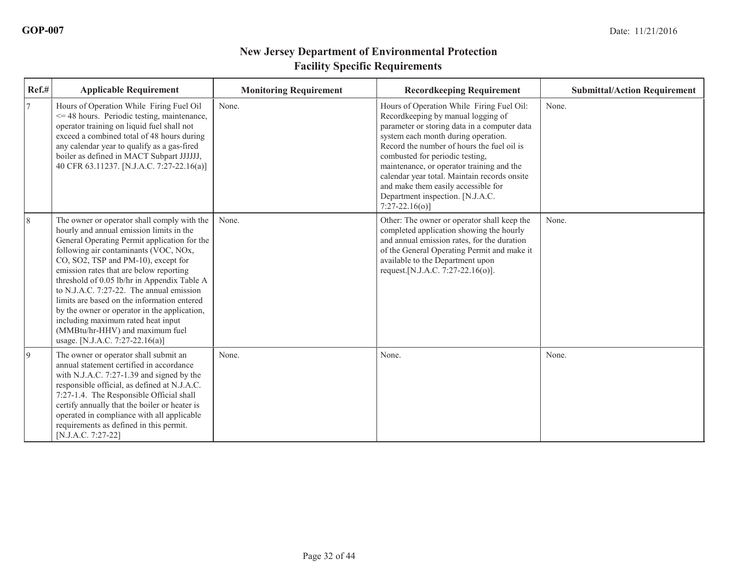| Ref.#     | <b>Applicable Requirement</b>                                                                                                                                                                                                                                                                                                                                                                                                                                                                                                                                            | <b>Monitoring Requirement</b> | <b>Recordkeeping Requirement</b>                                                                                                                                                                                                                                                                                                                                                                                                                   | <b>Submittal/Action Requirement</b> |
|-----------|--------------------------------------------------------------------------------------------------------------------------------------------------------------------------------------------------------------------------------------------------------------------------------------------------------------------------------------------------------------------------------------------------------------------------------------------------------------------------------------------------------------------------------------------------------------------------|-------------------------------|----------------------------------------------------------------------------------------------------------------------------------------------------------------------------------------------------------------------------------------------------------------------------------------------------------------------------------------------------------------------------------------------------------------------------------------------------|-------------------------------------|
| 17        | Hours of Operation While Firing Fuel Oil<br>$\leq$ 48 hours. Periodic testing, maintenance,<br>operator training on liquid fuel shall not<br>exceed a combined total of 48 hours during<br>any calendar year to qualify as a gas-fired<br>boiler as defined in MACT Subpart JJJJJJ,<br>40 CFR 63.11237. [N.J.A.C. 7:27-22.16(a)]                                                                                                                                                                                                                                         | None.                         | Hours of Operation While Firing Fuel Oil:<br>Recordkeeping by manual logging of<br>parameter or storing data in a computer data<br>system each month during operation.<br>Record the number of hours the fuel oil is<br>combusted for periodic testing,<br>maintenance, or operator training and the<br>calendar year total. Maintain records onsite<br>and make them easily accessible for<br>Department inspection. [N.J.A.C.<br>$7:27-22.16(0)$ | None.                               |
| 8         | The owner or operator shall comply with the<br>hourly and annual emission limits in the<br>General Operating Permit application for the<br>following air contaminants (VOC, NOx,<br>CO, SO2, TSP and PM-10), except for<br>emission rates that are below reporting<br>threshold of 0.05 lb/hr in Appendix Table A<br>to N.J.A.C. 7:27-22. The annual emission<br>limits are based on the information entered<br>by the owner or operator in the application,<br>including maximum rated heat input<br>(MMBtu/hr-HHV) and maximum fuel<br>usage. [N.J.A.C. 7:27-22.16(a)] | None.                         | Other: The owner or operator shall keep the<br>completed application showing the hourly<br>and annual emission rates, for the duration<br>of the General Operating Permit and make it<br>available to the Department upon<br>request. [N.J.A.C. 7:27-22.16(o)].                                                                                                                                                                                    | None.                               |
| $\vert$ 9 | The owner or operator shall submit an<br>annual statement certified in accordance<br>with N.J.A.C. 7:27-1.39 and signed by the<br>responsible official, as defined at N.J.A.C.<br>7:27-1.4. The Responsible Official shall<br>certify annually that the boiler or heater is<br>operated in compliance with all applicable<br>requirements as defined in this permit.<br>[N.J.A.C. 7:27-22]                                                                                                                                                                               | None.                         | None.                                                                                                                                                                                                                                                                                                                                                                                                                                              | None.                               |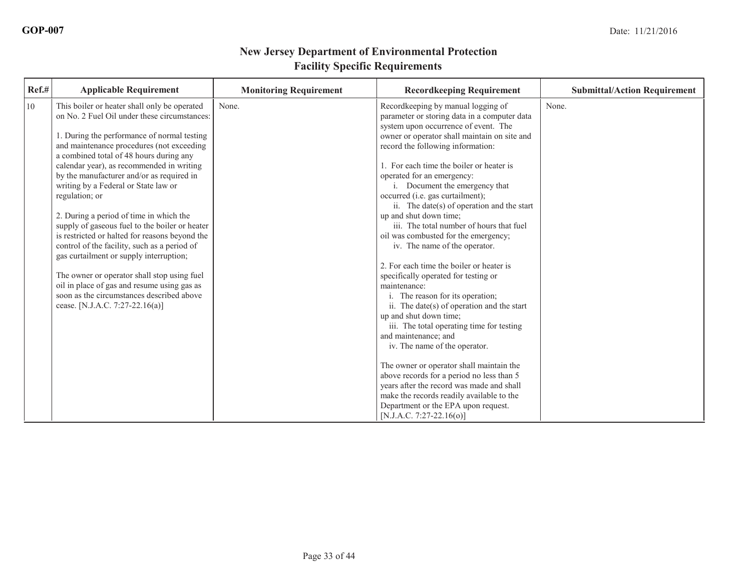| Ref.# | <b>Applicable Requirement</b>                                                                                                                                                                                                                                                                                                                                                                                                                                                                                                                                                                                                                                                                                                                                                                                   | <b>Monitoring Requirement</b> | <b>Recordkeeping Requirement</b>                                                                                                                                                                                                                                                                                                                                                                                                                                                                                                                                                                                                                                                                                                                                                                                                                                                                                               | <b>Submittal/Action Requirement</b> |
|-------|-----------------------------------------------------------------------------------------------------------------------------------------------------------------------------------------------------------------------------------------------------------------------------------------------------------------------------------------------------------------------------------------------------------------------------------------------------------------------------------------------------------------------------------------------------------------------------------------------------------------------------------------------------------------------------------------------------------------------------------------------------------------------------------------------------------------|-------------------------------|--------------------------------------------------------------------------------------------------------------------------------------------------------------------------------------------------------------------------------------------------------------------------------------------------------------------------------------------------------------------------------------------------------------------------------------------------------------------------------------------------------------------------------------------------------------------------------------------------------------------------------------------------------------------------------------------------------------------------------------------------------------------------------------------------------------------------------------------------------------------------------------------------------------------------------|-------------------------------------|
| 10    | This boiler or heater shall only be operated<br>on No. 2 Fuel Oil under these circumstances:<br>1. During the performance of normal testing<br>and maintenance procedures (not exceeding<br>a combined total of 48 hours during any<br>calendar year), as recommended in writing<br>by the manufacturer and/or as required in<br>writing by a Federal or State law or<br>regulation; or<br>2. During a period of time in which the<br>supply of gaseous fuel to the boiler or heater<br>is restricted or halted for reasons beyond the<br>control of the facility, such as a period of<br>gas curtailment or supply interruption;<br>The owner or operator shall stop using fuel<br>oil in place of gas and resume using gas as<br>soon as the circumstances described above<br>cease. [N.J.A.C. 7:27-22.16(a)] | None.                         | Recordkeeping by manual logging of<br>parameter or storing data in a computer data<br>system upon occurrence of event. The<br>owner or operator shall maintain on site and<br>record the following information:<br>1. For each time the boiler or heater is<br>operated for an emergency:<br>i. Document the emergency that<br>occurred (i.e. gas curtailment);<br>ii. The date(s) of operation and the start<br>up and shut down time;<br>iii. The total number of hours that fuel<br>oil was combusted for the emergency;<br>iv. The name of the operator.<br>2. For each time the boiler or heater is<br>specifically operated for testing or<br>maintenance:<br>i. The reason for its operation;<br>ii. The date(s) of operation and the start<br>up and shut down time;<br>iii. The total operating time for testing<br>and maintenance; and<br>iv. The name of the operator.<br>The owner or operator shall maintain the | None.                               |
|       |                                                                                                                                                                                                                                                                                                                                                                                                                                                                                                                                                                                                                                                                                                                                                                                                                 |                               | above records for a period no less than 5<br>vears after the record was made and shall<br>make the records readily available to the<br>Department or the EPA upon request.<br>$[N.J.A.C. 7:27-22.16(o)]$                                                                                                                                                                                                                                                                                                                                                                                                                                                                                                                                                                                                                                                                                                                       |                                     |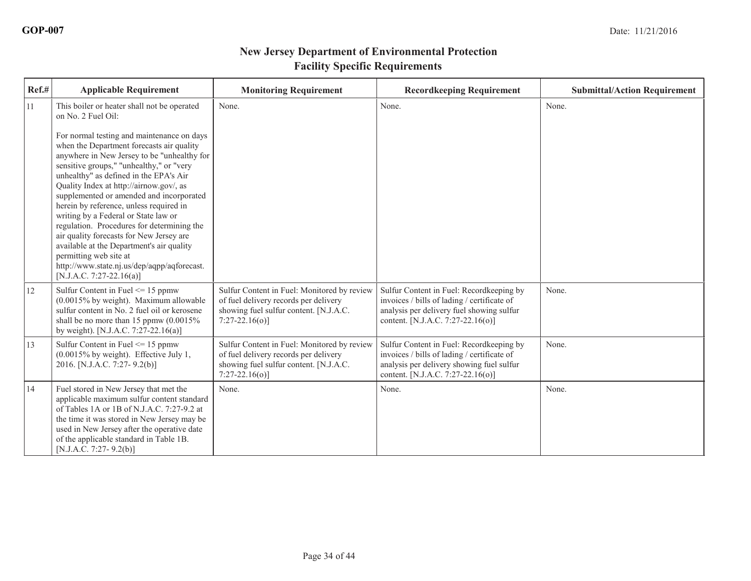| Ref.# | <b>Applicable Requirement</b>                                                                                                                                                                                                                                                                                                                                                                                                                                                                                                                                                                                                                                                                                           | <b>Monitoring Requirement</b>                                                                                                                     | <b>Recordkeeping Requirement</b>                                                                                                                                          | <b>Submittal/Action Requirement</b> |
|-------|-------------------------------------------------------------------------------------------------------------------------------------------------------------------------------------------------------------------------------------------------------------------------------------------------------------------------------------------------------------------------------------------------------------------------------------------------------------------------------------------------------------------------------------------------------------------------------------------------------------------------------------------------------------------------------------------------------------------------|---------------------------------------------------------------------------------------------------------------------------------------------------|---------------------------------------------------------------------------------------------------------------------------------------------------------------------------|-------------------------------------|
| 11    | This boiler or heater shall not be operated<br>on No. 2 Fuel Oil:<br>For normal testing and maintenance on days<br>when the Department forecasts air quality<br>anywhere in New Jersey to be "unhealthy for<br>sensitive groups," "unhealthy," or "very<br>unhealthy" as defined in the EPA's Air<br>Quality Index at http://airnow.gov/, as<br>supplemented or amended and incorporated<br>herein by reference, unless required in<br>writing by a Federal or State law or<br>regulation. Procedures for determining the<br>air quality forecasts for New Jersey are<br>available at the Department's air quality<br>permitting web site at<br>http://www.state.nj.us/dep/aqpp/aqforecast.<br>[N.J.A.C. 7:27-22.16(a)] | None.                                                                                                                                             | None.                                                                                                                                                                     | None.                               |
| 12    | Sulfur Content in Fuel $\leq$ 15 ppmw<br>$(0.0015\%$ by weight). Maximum allowable<br>sulfur content in No. 2 fuel oil or kerosene<br>shall be no more than 15 ppmw $(0.0015\%$<br>by weight). [N.J.A.C. 7:27-22.16(a)]                                                                                                                                                                                                                                                                                                                                                                                                                                                                                                 | Sulfur Content in Fuel: Monitored by review<br>of fuel delivery records per delivery<br>showing fuel sulfur content. [N.J.A.C.<br>$7:27-22.16(0)$ | Sulfur Content in Fuel: Recordkeeping by<br>invoices / bills of lading / certificate of<br>analysis per delivery fuel showing sulfur<br>content. [N.J.A.C. 7:27-22.16(o)] | None.                               |
| 13    | Sulfur Content in Fuel $\leq$ 15 ppmw<br>(0.0015% by weight). Effective July 1,<br>2016. [N.J.A.C. 7:27-9.2(b)]                                                                                                                                                                                                                                                                                                                                                                                                                                                                                                                                                                                                         | Sulfur Content in Fuel: Monitored by review<br>of fuel delivery records per delivery<br>showing fuel sulfur content. [N.J.A.C.<br>$7:27-22.16(0)$ | Sulfur Content in Fuel: Recordkeeping by<br>invoices / bills of lading / certificate of<br>analysis per delivery showing fuel sulfur<br>content. [N.J.A.C. 7:27-22.16(o)] | None.                               |
| 14    | Fuel stored in New Jersey that met the<br>applicable maximum sulfur content standard<br>of Tables 1A or 1B of N.J.A.C. 7:27-9.2 at<br>the time it was stored in New Jersey may be<br>used in New Jersey after the operative date<br>of the applicable standard in Table 1B.<br>$[N.J.A.C. 7:27-9.2(b)]$                                                                                                                                                                                                                                                                                                                                                                                                                 | None.                                                                                                                                             | None.                                                                                                                                                                     | None.                               |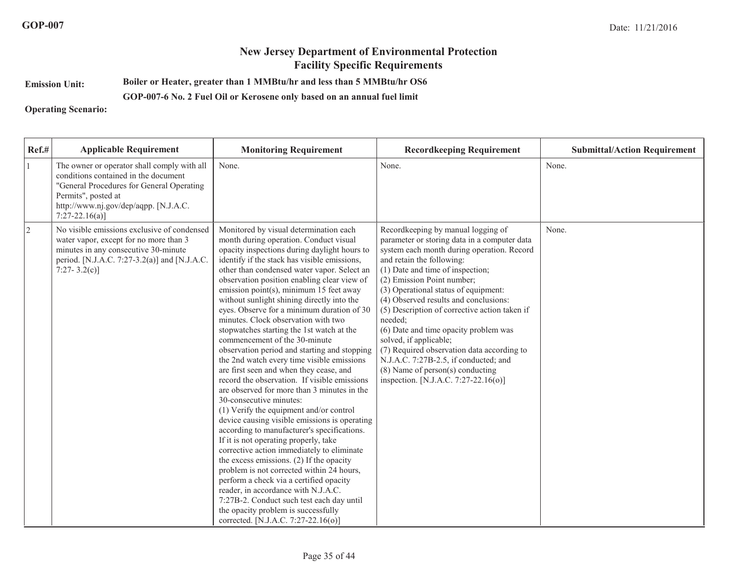#### **Emission Unit:Boiler or Heater, greater than 1 MMBtu/hr and less than 5 MMBtu/hr OS6**

#### **GOP-007-6 No. 2 Fuel Oil or Kerosene only based on an annual fuel limit**

#### **Operating Scenario:**

| $Ref.$ #  | <b>Applicable Requirement</b>                                                                                                                                                                                         | <b>Monitoring Requirement</b>                                                                                                                                                                                                                                                                                                                                                                                                                                                                                                                                                                                                                                                                                                                                                                                                                                                                                                                                                                                                                                                                                                                                                                                                                                                                                                                         | <b>Recordkeeping Requirement</b>                                                                                                                                                                                                                                                                                                                                                                                                                                                                                                                                                                                        | <b>Submittal/Action Requirement</b> |
|-----------|-----------------------------------------------------------------------------------------------------------------------------------------------------------------------------------------------------------------------|-------------------------------------------------------------------------------------------------------------------------------------------------------------------------------------------------------------------------------------------------------------------------------------------------------------------------------------------------------------------------------------------------------------------------------------------------------------------------------------------------------------------------------------------------------------------------------------------------------------------------------------------------------------------------------------------------------------------------------------------------------------------------------------------------------------------------------------------------------------------------------------------------------------------------------------------------------------------------------------------------------------------------------------------------------------------------------------------------------------------------------------------------------------------------------------------------------------------------------------------------------------------------------------------------------------------------------------------------------|-------------------------------------------------------------------------------------------------------------------------------------------------------------------------------------------------------------------------------------------------------------------------------------------------------------------------------------------------------------------------------------------------------------------------------------------------------------------------------------------------------------------------------------------------------------------------------------------------------------------------|-------------------------------------|
|           | The owner or operator shall comply with all<br>conditions contained in the document<br>"General Procedures for General Operating<br>Permits", posted at<br>http://www.nj.gov/dep/aqpp. [N.J.A.C.<br>$7:27-22.16(a)$ ] | None.                                                                                                                                                                                                                                                                                                                                                                                                                                                                                                                                                                                                                                                                                                                                                                                                                                                                                                                                                                                                                                                                                                                                                                                                                                                                                                                                                 | None.                                                                                                                                                                                                                                                                                                                                                                                                                                                                                                                                                                                                                   | None.                               |
| $\vert$ 2 | No visible emissions exclusive of condensed<br>water vapor, except for no more than 3<br>minutes in any consecutive 30-minute<br>period. [N.J.A.C. 7:27-3.2(a)] and [N.J.A.C.<br>7:27-3.2(c)]                         | Monitored by visual determination each<br>month during operation. Conduct visual<br>opacity inspections during daylight hours to<br>identify if the stack has visible emissions,<br>other than condensed water vapor. Select an<br>observation position enabling clear view of<br>emission point(s), minimum 15 feet away<br>without sunlight shining directly into the<br>eyes. Observe for a minimum duration of 30<br>minutes. Clock observation with two<br>stopwatches starting the 1st watch at the<br>commencement of the 30-minute<br>observation period and starting and stopping<br>the 2nd watch every time visible emissions<br>are first seen and when they cease, and<br>record the observation. If visible emissions<br>are observed for more than 3 minutes in the<br>30-consecutive minutes:<br>(1) Verify the equipment and/or control<br>device causing visible emissions is operating<br>according to manufacturer's specifications.<br>If it is not operating properly, take<br>corrective action immediately to eliminate<br>the excess emissions. (2) If the opacity<br>problem is not corrected within 24 hours,<br>perform a check via a certified opacity<br>reader, in accordance with N.J.A.C.<br>7:27B-2. Conduct such test each day until<br>the opacity problem is successfully<br>corrected. [N.J.A.C. 7:27-22.16(o)] | Recordkeeping by manual logging of<br>parameter or storing data in a computer data<br>system each month during operation. Record<br>and retain the following:<br>(1) Date and time of inspection;<br>(2) Emission Point number;<br>(3) Operational status of equipment:<br>(4) Observed results and conclusions:<br>(5) Description of corrective action taken if<br>needed;<br>(6) Date and time opacity problem was<br>solved, if applicable;<br>(7) Required observation data according to<br>N.J.A.C. 7:27B-2.5, if conducted; and<br>$(8)$ Name of person $(s)$ conducting<br>inspection. [N.J.A.C. 7:27-22.16(o)] | None.                               |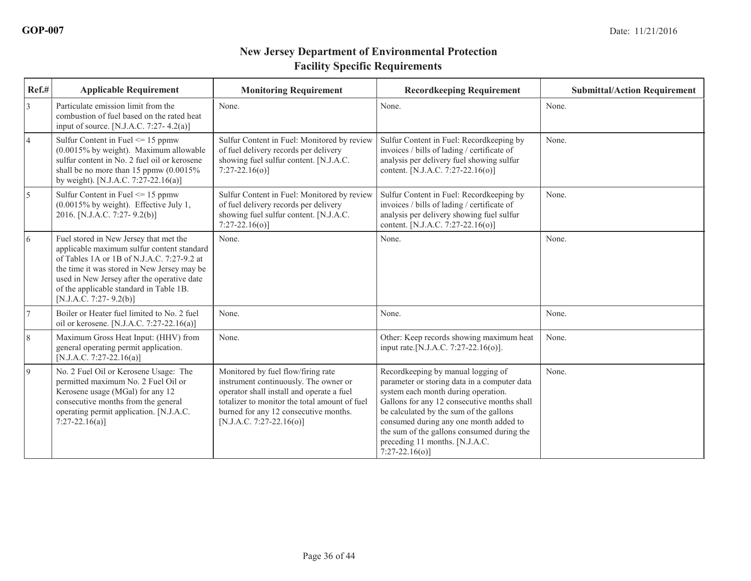| Ref.#           | <b>Applicable Requirement</b>                                                                                                                                                                                                                                                                         | <b>Monitoring Requirement</b>                                                                                                                                                                                                                  | <b>Recordkeeping Requirement</b>                                                                                                                                                                                                                                                                                                                                   | <b>Submittal/Action Requirement</b> |
|-----------------|-------------------------------------------------------------------------------------------------------------------------------------------------------------------------------------------------------------------------------------------------------------------------------------------------------|------------------------------------------------------------------------------------------------------------------------------------------------------------------------------------------------------------------------------------------------|--------------------------------------------------------------------------------------------------------------------------------------------------------------------------------------------------------------------------------------------------------------------------------------------------------------------------------------------------------------------|-------------------------------------|
| 3               | Particulate emission limit from the<br>combustion of fuel based on the rated heat<br>input of source. [N.J.A.C. 7:27-4.2(a)]                                                                                                                                                                          | None.                                                                                                                                                                                                                                          | None.                                                                                                                                                                                                                                                                                                                                                              | None.                               |
| $\overline{4}$  | Sulfur Content in Fuel $\leq$ 15 ppmw<br>(0.0015% by weight). Maximum allowable<br>sulfur content in No. 2 fuel oil or kerosene<br>shall be no more than 15 ppmw $(0.0015\%$<br>by weight). [N.J.A.C. 7:27-22.16(a)]                                                                                  | Sulfur Content in Fuel: Monitored by review<br>of fuel delivery records per delivery<br>showing fuel sulfur content. [N.J.A.C.<br>$7:27-22.16(o)$                                                                                              | Sulfur Content in Fuel: Recordkeeping by<br>invoices / bills of lading / certificate of<br>analysis per delivery fuel showing sulfur<br>content. [N.J.A.C. 7:27-22.16(o)]                                                                                                                                                                                          | None.                               |
| $\overline{5}$  | Sulfur Content in Fuel $\leq$ 15 ppmw<br>$(0.0015\%$ by weight). Effective July 1,<br>2016. [N.J.A.C. 7:27- 9.2(b)]                                                                                                                                                                                   | Sulfur Content in Fuel: Monitored by review<br>of fuel delivery records per delivery<br>showing fuel sulfur content. [N.J.A.C.<br>$7:27-22.16(o)$ ]                                                                                            | Sulfur Content in Fuel: Recordkeeping by<br>invoices / bills of lading / certificate of<br>analysis per delivery showing fuel sulfur<br>content. [N.J.A.C. 7:27-22.16(o)]                                                                                                                                                                                          | None.                               |
| $\vert 6 \vert$ | Fuel stored in New Jersey that met the<br>applicable maximum sulfur content standard<br>of Tables 1A or 1B of N.J.A.C. 7:27-9.2 at<br>the time it was stored in New Jersey may be<br>used in New Jersey after the operative date<br>of the applicable standard in Table 1B.<br>[N.J.A.C. 7:27-9.2(b)] | None.                                                                                                                                                                                                                                          | None.                                                                                                                                                                                                                                                                                                                                                              | None.                               |
|                 | Boiler or Heater fuel limited to No. 2 fuel<br>oil or kerosene. [N.J.A.C. 7:27-22.16(a)]                                                                                                                                                                                                              | None.                                                                                                                                                                                                                                          | None.                                                                                                                                                                                                                                                                                                                                                              | None.                               |
| $\sqrt{8}$      | Maximum Gross Heat Input: (HHV) from<br>general operating permit application.<br>[N.J.A.C. 7:27-22.16(a)]                                                                                                                                                                                             | None.                                                                                                                                                                                                                                          | Other: Keep records showing maximum heat<br>input rate. [N.J.A.C. 7:27-22.16(o)].                                                                                                                                                                                                                                                                                  | None.                               |
| $\vert$ 9       | No. 2 Fuel Oil or Kerosene Usage: The<br>permitted maximum No. 2 Fuel Oil or<br>Kerosene usage (MGal) for any 12<br>consecutive months from the general<br>operating permit application. [N.J.A.C.<br>$7:27-22.16(a)$                                                                                 | Monitored by fuel flow/firing rate<br>instrument continuously. The owner or<br>operator shall install and operate a fuel<br>totalizer to monitor the total amount of fuel<br>burned for any 12 consecutive months.<br>[N.J.A.C. 7:27-22.16(o)] | Recordkeeping by manual logging of<br>parameter or storing data in a computer data<br>system each month during operation.<br>Gallons for any 12 consecutive months shall<br>be calculated by the sum of the gallons<br>consumed during any one month added to<br>the sum of the gallons consumed during the<br>preceding 11 months. [N.J.A.C.<br>$7:27-22.16(o)$ ] | None.                               |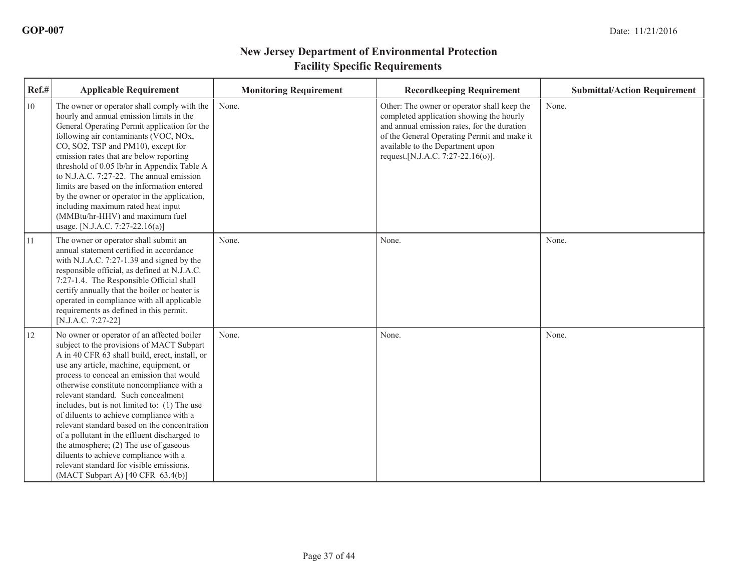| Ref.# | <b>Applicable Requirement</b>                                                                                                                                                                                                                                                                                                                                                                                                                                                                                                                                                                                                                                                                    | <b>Monitoring Requirement</b> | <b>Recordkeeping Requirement</b>                                                                                                                                                                                                                                | <b>Submittal/Action Requirement</b> |
|-------|--------------------------------------------------------------------------------------------------------------------------------------------------------------------------------------------------------------------------------------------------------------------------------------------------------------------------------------------------------------------------------------------------------------------------------------------------------------------------------------------------------------------------------------------------------------------------------------------------------------------------------------------------------------------------------------------------|-------------------------------|-----------------------------------------------------------------------------------------------------------------------------------------------------------------------------------------------------------------------------------------------------------------|-------------------------------------|
| 10    | The owner or operator shall comply with the<br>hourly and annual emission limits in the<br>General Operating Permit application for the<br>following air contaminants (VOC, NOx,<br>CO, SO2, TSP and PM10), except for<br>emission rates that are below reporting<br>threshold of 0.05 lb/hr in Appendix Table A<br>to N.J.A.C. 7:27-22. The annual emission<br>limits are based on the information entered<br>by the owner or operator in the application,<br>including maximum rated heat input<br>(MMBtu/hr-HHV) and maximum fuel<br>usage. [N.J.A.C. 7:27-22.16(a)]                                                                                                                          | None.                         | Other: The owner or operator shall keep the<br>completed application showing the hourly<br>and annual emission rates, for the duration<br>of the General Operating Permit and make it<br>available to the Department upon<br>request. [N.J.A.C. 7:27-22.16(o)]. | None.                               |
| 11    | The owner or operator shall submit an<br>annual statement certified in accordance<br>with N.J.A.C. 7:27-1.39 and signed by the<br>responsible official, as defined at N.J.A.C.<br>7:27-1.4. The Responsible Official shall<br>certify annually that the boiler or heater is<br>operated in compliance with all applicable<br>requirements as defined in this permit.<br>[N.J.A.C. 7:27-22]                                                                                                                                                                                                                                                                                                       | None.                         | None.                                                                                                                                                                                                                                                           | None.                               |
| 12    | No owner or operator of an affected boiler<br>subject to the provisions of MACT Subpart<br>A in 40 CFR 63 shall build, erect, install, or<br>use any article, machine, equipment, or<br>process to conceal an emission that would<br>otherwise constitute noncompliance with a<br>relevant standard. Such concealment<br>includes, but is not limited to: (1) The use<br>of diluents to achieve compliance with a<br>relevant standard based on the concentration<br>of a pollutant in the effluent discharged to<br>the atmosphere; (2) The use of gaseous<br>diluents to achieve compliance with a<br>relevant standard for visible emissions.<br>(MACT Subpart A) $[40 \text{ CFR } 63.4(b)]$ | None.                         | None.                                                                                                                                                                                                                                                           | None.                               |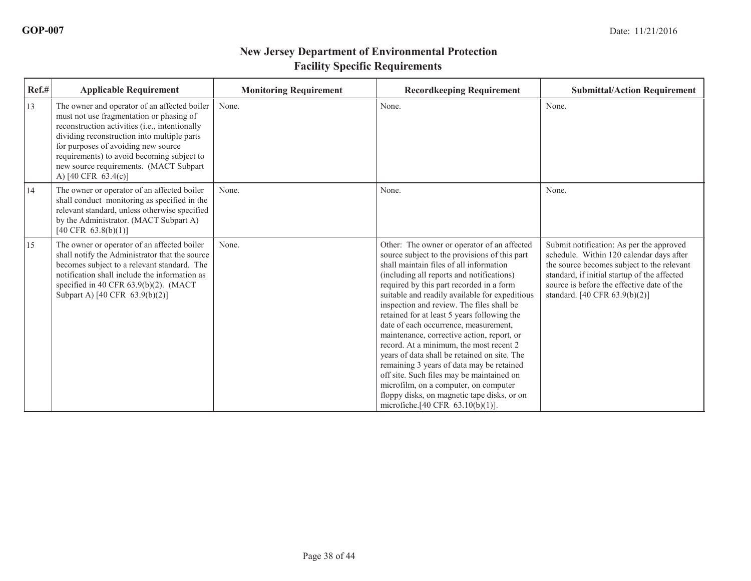| Ref.# | <b>Applicable Requirement</b>                                                                                                                                                                                                                                                                                                                              | <b>Monitoring Requirement</b> | <b>Recordkeeping Requirement</b>                                                                                                                                                                                                                                                                                                                                                                                                                                                                                                                                                                                                                                                                                                                                                                   | <b>Submittal/Action Requirement</b>                                                                                                                                                                                                                                  |
|-------|------------------------------------------------------------------------------------------------------------------------------------------------------------------------------------------------------------------------------------------------------------------------------------------------------------------------------------------------------------|-------------------------------|----------------------------------------------------------------------------------------------------------------------------------------------------------------------------------------------------------------------------------------------------------------------------------------------------------------------------------------------------------------------------------------------------------------------------------------------------------------------------------------------------------------------------------------------------------------------------------------------------------------------------------------------------------------------------------------------------------------------------------------------------------------------------------------------------|----------------------------------------------------------------------------------------------------------------------------------------------------------------------------------------------------------------------------------------------------------------------|
| 13    | The owner and operator of an affected boiler<br>must not use fragmentation or phasing of<br>reconstruction activities (i.e., intentionally<br>dividing reconstruction into multiple parts<br>for purposes of avoiding new source<br>requirements) to avoid becoming subject to<br>new source requirements. (MACT Subpart<br>A) $[40 \text{ CFR } 63.4(c)]$ | None.                         | None.                                                                                                                                                                                                                                                                                                                                                                                                                                                                                                                                                                                                                                                                                                                                                                                              | None.                                                                                                                                                                                                                                                                |
| 14    | The owner or operator of an affected boiler<br>shall conduct monitoring as specified in the<br>relevant standard, unless otherwise specified<br>by the Administrator. (MACT Subpart A)<br>$[40 \text{ CFR } 63.8(b)(1)]$                                                                                                                                   | None.                         | None.                                                                                                                                                                                                                                                                                                                                                                                                                                                                                                                                                                                                                                                                                                                                                                                              | None.                                                                                                                                                                                                                                                                |
| 15    | The owner or operator of an affected boiler<br>shall notify the Administrator that the source<br>becomes subject to a relevant standard. The<br>notification shall include the information as<br>specified in 40 CFR $63.9(b)(2)$ . (MACT<br>Subpart A) [40 CFR 63.9(b)(2)]                                                                                | None.                         | Other: The owner or operator of an affected<br>source subject to the provisions of this part<br>shall maintain files of all information<br>(including all reports and notifications)<br>required by this part recorded in a form<br>suitable and readily available for expeditious<br>inspection and review. The files shall be<br>retained for at least 5 years following the<br>date of each occurrence, measurement,<br>maintenance, corrective action, report, or<br>record. At a minimum, the most recent 2<br>years of data shall be retained on site. The<br>remaining 3 years of data may be retained<br>off site. Such files may be maintained on<br>microfilm, on a computer, on computer<br>floppy disks, on magnetic tape disks, or on<br>microfiche. $[40 \text{ CFR } 63.10(b)(1)].$ | Submit notification: As per the approved<br>schedule. Within 120 calendar days after<br>the source becomes subject to the relevant<br>standard, if initial startup of the affected<br>source is before the effective date of the<br>standard. [40 CFR $63.9(b)(2)$ ] |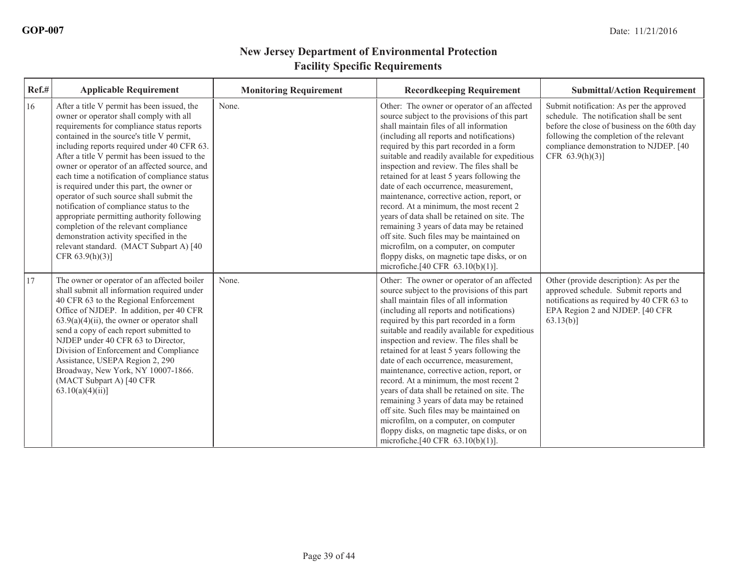| Ref.#         | <b>Applicable Requirement</b>                                                                                                                                                                                                                                                                                                                                                                                                                                                                                                                                                                                                                                                                                              | <b>Monitoring Requirement</b> | <b>Recordkeeping Requirement</b>                                                                                                                                                                                                                                                                                                                                                                                                                                                                                                                                                                                                                                                                                                                                                                   | <b>Submittal/Action Requirement</b>                                                                                                                                                                                                              |
|---------------|----------------------------------------------------------------------------------------------------------------------------------------------------------------------------------------------------------------------------------------------------------------------------------------------------------------------------------------------------------------------------------------------------------------------------------------------------------------------------------------------------------------------------------------------------------------------------------------------------------------------------------------------------------------------------------------------------------------------------|-------------------------------|----------------------------------------------------------------------------------------------------------------------------------------------------------------------------------------------------------------------------------------------------------------------------------------------------------------------------------------------------------------------------------------------------------------------------------------------------------------------------------------------------------------------------------------------------------------------------------------------------------------------------------------------------------------------------------------------------------------------------------------------------------------------------------------------------|--------------------------------------------------------------------------------------------------------------------------------------------------------------------------------------------------------------------------------------------------|
| 16            | After a title V permit has been issued, the<br>owner or operator shall comply with all<br>requirements for compliance status reports<br>contained in the source's title V permit,<br>including reports required under 40 CFR 63.<br>After a title V permit has been issued to the<br>owner or operator of an affected source, and<br>each time a notification of compliance status<br>is required under this part, the owner or<br>operator of such source shall submit the<br>notification of compliance status to the<br>appropriate permitting authority following<br>completion of the relevant compliance<br>demonstration activity specified in the<br>relevant standard. (MACT Subpart A) [40<br>CFR $63.9(h)(3)$ ] | None.                         | Other: The owner or operator of an affected<br>source subject to the provisions of this part<br>shall maintain files of all information<br>(including all reports and notifications)<br>required by this part recorded in a form<br>suitable and readily available for expeditious<br>inspection and review. The files shall be<br>retained for at least 5 years following the<br>date of each occurrence, measurement,<br>maintenance, corrective action, report, or<br>record. At a minimum, the most recent 2<br>vears of data shall be retained on site. The<br>remaining 3 years of data may be retained<br>off site. Such files may be maintained on<br>microfilm, on a computer, on computer<br>floppy disks, on magnetic tape disks, or on<br>microfiche. $[40 \text{ CFR } 63.10(b)(1)].$ | Submit notification: As per the approved<br>schedule. The notification shall be sent<br>before the close of business on the 60th day<br>following the completion of the relevant<br>compliance demonstration to NJDEP. [40<br>CFR $63.9(h)(3)$ ] |
| <sup>17</sup> | The owner or operator of an affected boiler<br>shall submit all information required under<br>40 CFR 63 to the Regional Enforcement<br>Office of NJDEP. In addition, per 40 CFR<br>$63.9(a)(4)(ii)$ , the owner or operator shall<br>send a copy of each report submitted to<br>NJDEP under 40 CFR 63 to Director,<br>Division of Enforcement and Compliance<br>Assistance, USEPA Region 2, 290<br>Broadway, New York, NY 10007-1866.<br>(MACT Subpart A) [40 CFR<br>$63.10(a)(4)(ii)$ ]                                                                                                                                                                                                                                   | None.                         | Other: The owner or operator of an affected<br>source subject to the provisions of this part<br>shall maintain files of all information<br>(including all reports and notifications)<br>required by this part recorded in a form<br>suitable and readily available for expeditious<br>inspection and review. The files shall be<br>retained for at least 5 years following the<br>date of each occurrence, measurement,<br>maintenance, corrective action, report, or<br>record. At a minimum, the most recent 2<br>years of data shall be retained on site. The<br>remaining 3 years of data may be retained<br>off site. Such files may be maintained on<br>microfilm, on a computer, on computer<br>floppy disks, on magnetic tape disks, or on<br>microfiche. $[40 \text{ CFR } 63.10(b)(1)].$ | Other (provide description): As per the<br>approved schedule. Submit reports and<br>notifications as required by 40 CFR 63 to<br>EPA Region 2 and NJDEP. [40 CFR<br>$63.13(b)$ ]                                                                 |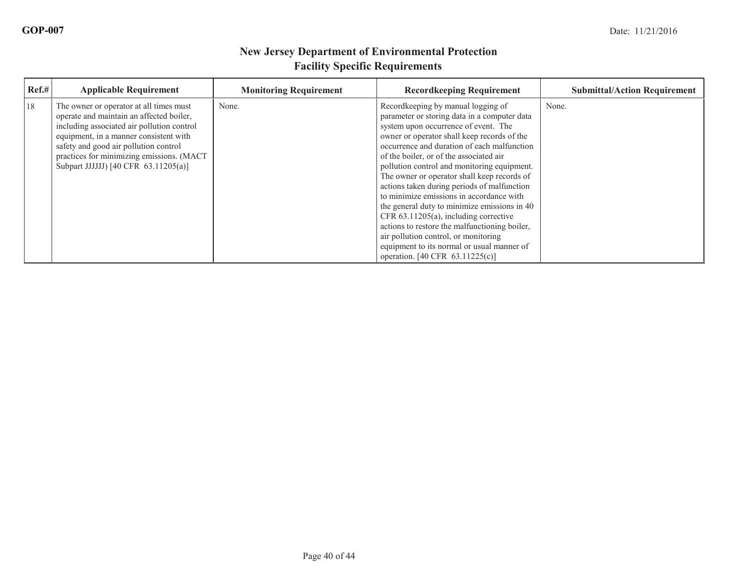| Ref.# | <b>Applicable Requirement</b>                                                                                                                                                                                                                                                                             | <b>Monitoring Requirement</b> | <b>Recordkeeping Requirement</b>                                                                                                                                                                                                                                                                                                                                                                                                                                                                                                                                                                                                                                                                                                | <b>Submittal/Action Requirement</b> |
|-------|-----------------------------------------------------------------------------------------------------------------------------------------------------------------------------------------------------------------------------------------------------------------------------------------------------------|-------------------------------|---------------------------------------------------------------------------------------------------------------------------------------------------------------------------------------------------------------------------------------------------------------------------------------------------------------------------------------------------------------------------------------------------------------------------------------------------------------------------------------------------------------------------------------------------------------------------------------------------------------------------------------------------------------------------------------------------------------------------------|-------------------------------------|
| 18    | The owner or operator at all times must<br>operate and maintain an affected boiler,<br>including associated air pollution control<br>equipment, in a manner consistent with<br>safety and good air pollution control<br>practices for minimizing emissions. (MACT<br>Subpart JJJJJJ) [40 CFR 63.11205(a)] | None.                         | Recordkeeping by manual logging of<br>parameter or storing data in a computer data<br>system upon occurrence of event. The<br>owner or operator shall keep records of the<br>occurrence and duration of each malfunction<br>of the boiler, or of the associated air<br>pollution control and monitoring equipment.<br>The owner or operator shall keep records of<br>actions taken during periods of malfunction<br>to minimize emissions in accordance with<br>the general duty to minimize emissions in 40<br>CFR 63.11205(a), including corrective<br>actions to restore the malfunctioning boiler,<br>air pollution control, or monitoring<br>equipment to its normal or usual manner of<br>operation. [40 CFR 63.11225(c)] | None.                               |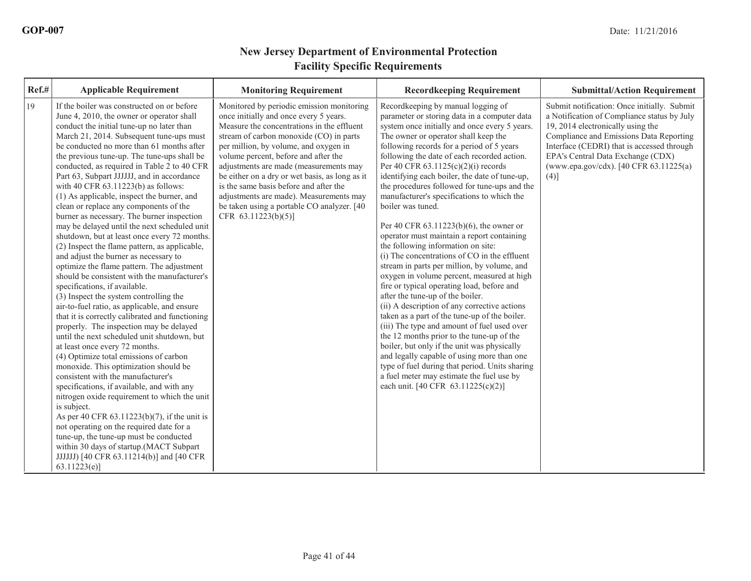| Ref.# | <b>Applicable Requirement</b>                                                                                                                                                                                                                                                                                                                                                                                                                                                                                                                                                                                                                                                                                                                                                                                                                                                                                                                                                                                                                                                                                                                                                                                                                                                                                                                                                                                                                                                                                                                                                                                                              | <b>Monitoring Requirement</b>                                                                                                                                                                                                                                                                                                                                                                                                                                                                                       | <b>Recordkeeping Requirement</b>                                                                                                                                                                                                                                                                                                                                                                                                                                                                                                                                                                                                                                                                                                                                                                                                                                                                                                                                                                                                                                                                                                                                                                                                                                                  | <b>Submittal/Action Requirement</b>                                                                                                                                                                                                                                                                             |
|-------|--------------------------------------------------------------------------------------------------------------------------------------------------------------------------------------------------------------------------------------------------------------------------------------------------------------------------------------------------------------------------------------------------------------------------------------------------------------------------------------------------------------------------------------------------------------------------------------------------------------------------------------------------------------------------------------------------------------------------------------------------------------------------------------------------------------------------------------------------------------------------------------------------------------------------------------------------------------------------------------------------------------------------------------------------------------------------------------------------------------------------------------------------------------------------------------------------------------------------------------------------------------------------------------------------------------------------------------------------------------------------------------------------------------------------------------------------------------------------------------------------------------------------------------------------------------------------------------------------------------------------------------------|---------------------------------------------------------------------------------------------------------------------------------------------------------------------------------------------------------------------------------------------------------------------------------------------------------------------------------------------------------------------------------------------------------------------------------------------------------------------------------------------------------------------|-----------------------------------------------------------------------------------------------------------------------------------------------------------------------------------------------------------------------------------------------------------------------------------------------------------------------------------------------------------------------------------------------------------------------------------------------------------------------------------------------------------------------------------------------------------------------------------------------------------------------------------------------------------------------------------------------------------------------------------------------------------------------------------------------------------------------------------------------------------------------------------------------------------------------------------------------------------------------------------------------------------------------------------------------------------------------------------------------------------------------------------------------------------------------------------------------------------------------------------------------------------------------------------|-----------------------------------------------------------------------------------------------------------------------------------------------------------------------------------------------------------------------------------------------------------------------------------------------------------------|
| 19    | If the boiler was constructed on or before<br>June 4, 2010, the owner or operator shall<br>conduct the initial tune-up no later than<br>March 21, 2014. Subsequent tune-ups must<br>be conducted no more than 61 months after<br>the previous tune-up. The tune-ups shall be<br>conducted, as required in Table 2 to 40 CFR<br>Part 63, Subpart JJJJJJ, and in accordance<br>with 40 CFR 63.11223(b) as follows:<br>(1) As applicable, inspect the burner, and<br>clean or replace any components of the<br>burner as necessary. The burner inspection<br>may be delayed until the next scheduled unit<br>shutdown, but at least once every 72 months.<br>(2) Inspect the flame pattern, as applicable,<br>and adjust the burner as necessary to<br>optimize the flame pattern. The adjustment<br>should be consistent with the manufacturer's<br>specifications, if available.<br>(3) Inspect the system controlling the<br>air-to-fuel ratio, as applicable, and ensure<br>that it is correctly calibrated and functioning<br>properly. The inspection may be delayed<br>until the next scheduled unit shutdown, but<br>at least once every 72 months.<br>(4) Optimize total emissions of carbon<br>monoxide. This optimization should be<br>consistent with the manufacturer's<br>specifications, if available, and with any<br>nitrogen oxide requirement to which the unit<br>is subject.<br>As per 40 CFR 63.11223(b)(7), if the unit is<br>not operating on the required date for a<br>tune-up, the tune-up must be conducted<br>within 30 days of startup.(MACT Subpart<br>JJJJJJ) [40 CFR 63.11214(b)] and [40 CFR<br>63.11223(e) | Monitored by periodic emission monitoring<br>once initially and once every 5 years.<br>Measure the concentrations in the effluent<br>stream of carbon monoxide (CO) in parts<br>per million, by volume, and oxygen in<br>volume percent, before and after the<br>adjustments are made (measurements may<br>be either on a dry or wet basis, as long as it<br>is the same basis before and after the<br>adjustments are made). Measurements may<br>be taken using a portable CO analyzer. [40<br>CFR 63.11223(b)(5)] | Recordkeeping by manual logging of<br>parameter or storing data in a computer data<br>system once initially and once every 5 years.<br>The owner or operator shall keep the<br>following records for a period of 5 years<br>following the date of each recorded action.<br>Per 40 CFR $63.1125(c)(2)(i)$ records<br>identifying each boiler, the date of tune-up,<br>the procedures followed for tune-ups and the<br>manufacturer's specifications to which the<br>boiler was tuned.<br>Per 40 CFR 63.11223(b)(6), the owner or<br>operator must maintain a report containing<br>the following information on site:<br>(i) The concentrations of CO in the effluent<br>stream in parts per million, by volume, and<br>oxygen in volume percent, measured at high<br>fire or typical operating load, before and<br>after the tune-up of the boiler.<br>(ii) A description of any corrective actions<br>taken as a part of the tune-up of the boiler.<br>(iii) The type and amount of fuel used over<br>the 12 months prior to the tune-up of the<br>boiler, but only if the unit was physically<br>and legally capable of using more than one<br>type of fuel during that period. Units sharing<br>a fuel meter may estimate the fuel use by<br>each unit. [40 CFR 63.11225(c)(2)] | Submit notification: Once initially. Submit<br>a Notification of Compliance status by July<br>19, 2014 electronically using the<br>Compliance and Emissions Data Reporting<br>Interface (CEDRI) that is accessed through<br>EPA's Central Data Exchange (CDX)<br>(www.epa.gov/cdx). [40 CFR 63.11225(a)<br>(4)] |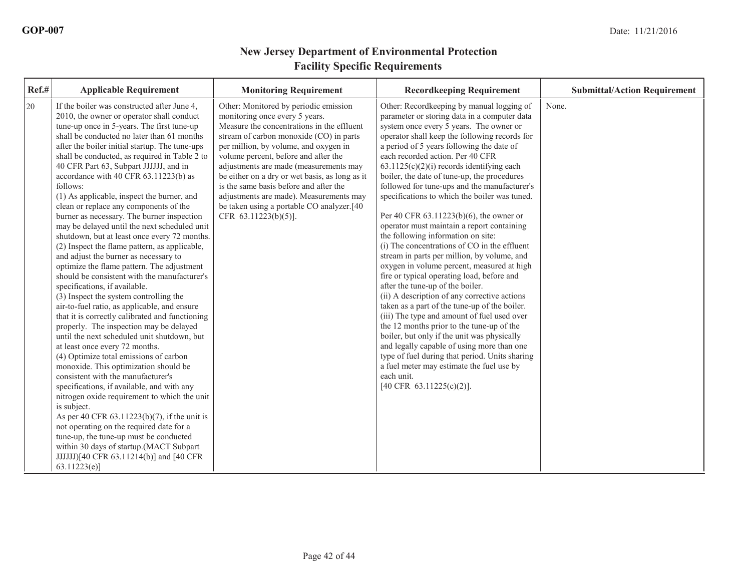| Ref.#<br><b>Applicable Requirement</b>                                                                                                                                                                                                                                                                                                                                                                                                                                                                                                                                                                                                                                                                                                                                                                                                                                                                                                                                                                                                                                                                                                                                                                                                                                                                                                                                                                                                                                                                                                                                                                                   | <b>Monitoring Requirement</b>                                                                                                                                                                                                                                                                                                                                                                                                                                                                            | <b>Recordkeeping Requirement</b>                                                                                                                                                                                                                                                                                                                                                                                                                                                                                                                                                                                                                                                                                                                                                                                                                                                                                                                                                                                                                                                                                                                                                                                                                                       | <b>Submittal/Action Requirement</b> |
|--------------------------------------------------------------------------------------------------------------------------------------------------------------------------------------------------------------------------------------------------------------------------------------------------------------------------------------------------------------------------------------------------------------------------------------------------------------------------------------------------------------------------------------------------------------------------------------------------------------------------------------------------------------------------------------------------------------------------------------------------------------------------------------------------------------------------------------------------------------------------------------------------------------------------------------------------------------------------------------------------------------------------------------------------------------------------------------------------------------------------------------------------------------------------------------------------------------------------------------------------------------------------------------------------------------------------------------------------------------------------------------------------------------------------------------------------------------------------------------------------------------------------------------------------------------------------------------------------------------------------|----------------------------------------------------------------------------------------------------------------------------------------------------------------------------------------------------------------------------------------------------------------------------------------------------------------------------------------------------------------------------------------------------------------------------------------------------------------------------------------------------------|------------------------------------------------------------------------------------------------------------------------------------------------------------------------------------------------------------------------------------------------------------------------------------------------------------------------------------------------------------------------------------------------------------------------------------------------------------------------------------------------------------------------------------------------------------------------------------------------------------------------------------------------------------------------------------------------------------------------------------------------------------------------------------------------------------------------------------------------------------------------------------------------------------------------------------------------------------------------------------------------------------------------------------------------------------------------------------------------------------------------------------------------------------------------------------------------------------------------------------------------------------------------|-------------------------------------|
| 20<br>If the boiler was constructed after June 4,<br>2010, the owner or operator shall conduct<br>tune-up once in 5-years. The first tune-up<br>shall be conducted no later than 61 months<br>after the boiler initial startup. The tune-ups<br>shall be conducted, as required in Table 2 to<br>40 CFR Part 63, Subpart JJJJJJ, and in<br>accordance with 40 CFR 63.11223(b) as<br>follows:<br>(1) As applicable, inspect the burner, and<br>clean or replace any components of the<br>burner as necessary. The burner inspection<br>may be delayed until the next scheduled unit<br>shutdown, but at least once every 72 months.<br>(2) Inspect the flame pattern, as applicable,<br>and adjust the burner as necessary to<br>optimize the flame pattern. The adjustment<br>should be consistent with the manufacturer's<br>specifications, if available.<br>(3) Inspect the system controlling the<br>air-to-fuel ratio, as applicable, and ensure<br>that it is correctly calibrated and functioning<br>properly. The inspection may be delayed<br>until the next scheduled unit shutdown, but<br>at least once every 72 months.<br>(4) Optimize total emissions of carbon<br>monoxide. This optimization should be<br>consistent with the manufacturer's<br>specifications, if available, and with any<br>nitrogen oxide requirement to which the unit<br>is subject.<br>As per 40 CFR $63.11223(b)(7)$ , if the unit is<br>not operating on the required date for a<br>tune-up, the tune-up must be conducted<br>within 30 days of startup.(MACT Subpart<br>JJJJJJJ[40 CFR 63.11214(b)] and [40 CFR<br>63.11223(e) | Other: Monitored by periodic emission<br>monitoring once every 5 years.<br>Measure the concentrations in the effluent<br>stream of carbon monoxide (CO) in parts<br>per million, by volume, and oxygen in<br>volume percent, before and after the<br>adjustments are made (measurements may<br>be either on a dry or wet basis, as long as it<br>is the same basis before and after the<br>adjustments are made). Measurements may<br>be taken using a portable CO analyzer.[40]<br>CFR 63.11223(b)(5)]. | Other: Recordkeeping by manual logging of<br>parameter or storing data in a computer data<br>system once every 5 years. The owner or<br>operator shall keep the following records for<br>a period of 5 years following the date of<br>each recorded action. Per 40 CFR<br>$63.1125(c)(2)(i)$ records identifying each<br>boiler, the date of tune-up, the procedures<br>followed for tune-ups and the manufacturer's<br>specifications to which the boiler was tuned.<br>Per 40 CFR 63.11223(b)(6), the owner or<br>operator must maintain a report containing<br>the following information on site:<br>(i) The concentrations of CO in the effluent<br>stream in parts per million, by volume, and<br>oxygen in volume percent, measured at high<br>fire or typical operating load, before and<br>after the tune-up of the boiler.<br>(ii) A description of any corrective actions<br>taken as a part of the tune-up of the boiler.<br>(iii) The type and amount of fuel used over<br>the 12 months prior to the tune-up of the<br>boiler, but only if the unit was physically<br>and legally capable of using more than one<br>type of fuel during that period. Units sharing<br>a fuel meter may estimate the fuel use by<br>each unit.<br>[40 CFR 63.11225(c)(2)]. | None.                               |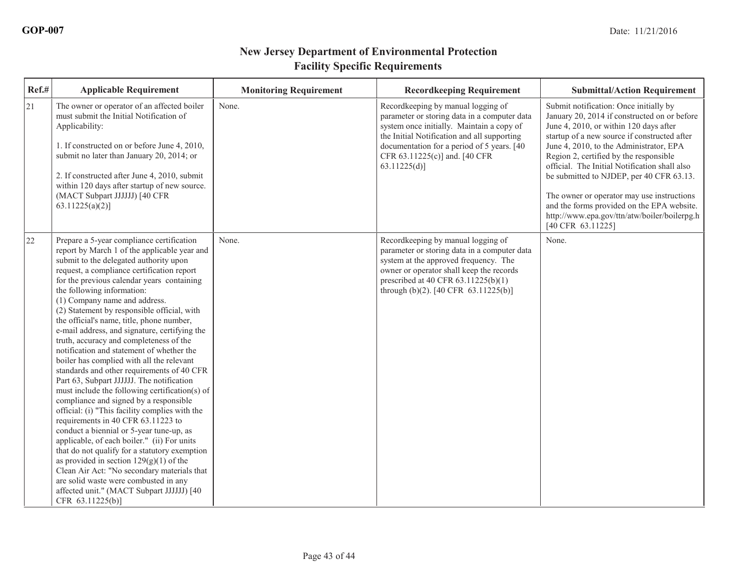| Ref.# | <b>Applicable Requirement</b>                                                                                                                                                                                                                                                                                                                                                                                                                                                                                                                                                                                                                                                                                                                                                                                                                                                                                                                                                                                                                                                                                                                                                                                     | <b>Monitoring Requirement</b> | <b>Recordkeeping Requirement</b>                                                                                                                                                                                                                                              | <b>Submittal/Action Requirement</b>                                                                                                                                                                                                                                                                                                                                                                                                                                                                                                 |
|-------|-------------------------------------------------------------------------------------------------------------------------------------------------------------------------------------------------------------------------------------------------------------------------------------------------------------------------------------------------------------------------------------------------------------------------------------------------------------------------------------------------------------------------------------------------------------------------------------------------------------------------------------------------------------------------------------------------------------------------------------------------------------------------------------------------------------------------------------------------------------------------------------------------------------------------------------------------------------------------------------------------------------------------------------------------------------------------------------------------------------------------------------------------------------------------------------------------------------------|-------------------------------|-------------------------------------------------------------------------------------------------------------------------------------------------------------------------------------------------------------------------------------------------------------------------------|-------------------------------------------------------------------------------------------------------------------------------------------------------------------------------------------------------------------------------------------------------------------------------------------------------------------------------------------------------------------------------------------------------------------------------------------------------------------------------------------------------------------------------------|
| 21    | The owner or operator of an affected boiler<br>must submit the Initial Notification of<br>Applicability:<br>1. If constructed on or before June 4, 2010,<br>submit no later than January 20, 2014; or<br>2. If constructed after June 4, 2010, submit<br>within 120 days after startup of new source.<br>(MACT Subpart JJJJJJ) [40 CFR<br>$63.11225(a)(2)$ ]                                                                                                                                                                                                                                                                                                                                                                                                                                                                                                                                                                                                                                                                                                                                                                                                                                                      | None.                         | Recordkeeping by manual logging of<br>parameter or storing data in a computer data<br>system once initially. Maintain a copy of<br>the Initial Notification and all supporting<br>documentation for a period of 5 years. [40]<br>CFR 63.11225(c)] and. [40 CFR<br>63.11225(d) | Submit notification: Once initially by<br>January 20, 2014 if constructed on or before<br>June 4, 2010, or within 120 days after<br>startup of a new source if constructed after<br>June 4, 2010, to the Administrator, EPA<br>Region 2, certified by the responsible<br>official. The Initial Notification shall also<br>be submitted to NJDEP, per 40 CFR 63.13.<br>The owner or operator may use instructions<br>and the forms provided on the EPA website.<br>http://www.epa.gov/ttn/atw/boiler/boilerpg.h<br>[40 CFR 63.11225] |
| 22    | Prepare a 5-year compliance certification<br>report by March 1 of the applicable year and<br>submit to the delegated authority upon<br>request, a compliance certification report<br>for the previous calendar years containing<br>the following information:<br>(1) Company name and address.<br>(2) Statement by responsible official, with<br>the official's name, title, phone number,<br>e-mail address, and signature, certifying the<br>truth, accuracy and completeness of the<br>notification and statement of whether the<br>boiler has complied with all the relevant<br>standards and other requirements of 40 CFR<br>Part 63, Subpart JJJJJJ. The notification<br>must include the following certification(s) of<br>compliance and signed by a responsible<br>official: (i) "This facility complies with the<br>requirements in 40 CFR 63.11223 to<br>conduct a biennial or 5-year tune-up, as<br>applicable, of each boiler." (ii) For units<br>that do not qualify for a statutory exemption<br>as provided in section $129(g)(1)$ of the<br>Clean Air Act: "No secondary materials that<br>are solid waste were combusted in any<br>affected unit." (MACT Subpart JJJJJJ) [40<br>CFR 63.11225(b)] | None.                         | Recordkeeping by manual logging of<br>parameter or storing data in a computer data<br>system at the approved frequency. The<br>owner or operator shall keep the records<br>prescribed at 40 CFR 63.11225(b)(1)<br>through $(b)(2)$ . [40 CFR 63.11225(b)]                     | None.                                                                                                                                                                                                                                                                                                                                                                                                                                                                                                                               |